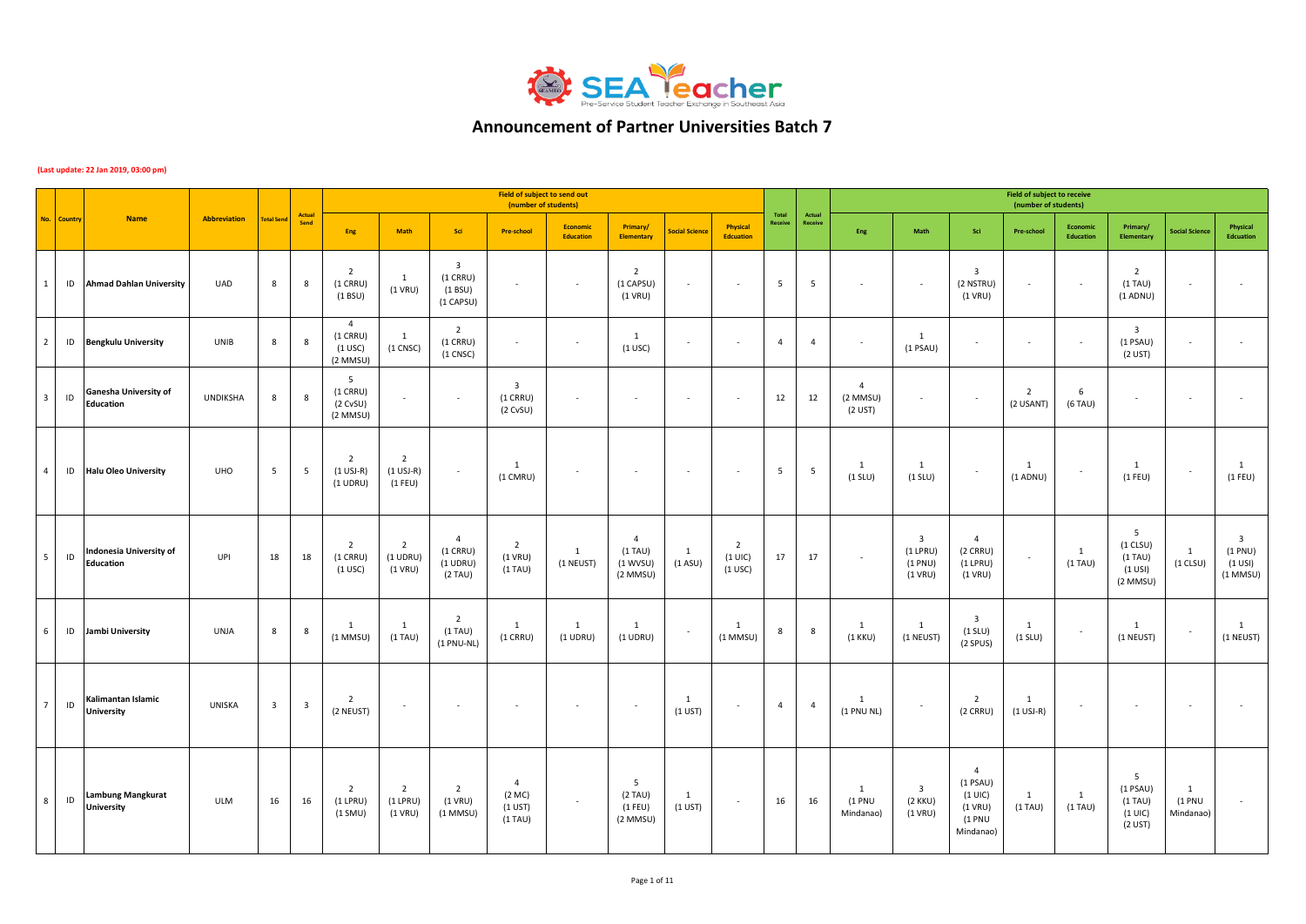

## **Announcement of Partner Universities Batch 7**

## **(Last update: 22 Jan 2019, 03:00 pm)**

|                 |             |                                               |                     |                         |                         |                                                       |                                            |                                                                | Field of subject to send out<br>(number of students) |                          |                                              |                       |                                          |                  |                   |                                           |                                                               |                                                                                   | <b>Field of subject to receive</b><br>(number of students) |                            |                                                          |                          |                                                                   |
|-----------------|-------------|-----------------------------------------------|---------------------|-------------------------|-------------------------|-------------------------------------------------------|--------------------------------------------|----------------------------------------------------------------|------------------------------------------------------|--------------------------|----------------------------------------------|-----------------------|------------------------------------------|------------------|-------------------|-------------------------------------------|---------------------------------------------------------------|-----------------------------------------------------------------------------------|------------------------------------------------------------|----------------------------|----------------------------------------------------------|--------------------------|-------------------------------------------------------------------|
|                 | No. Country | <b>Name</b>                                   | <b>Abbreviation</b> | <b>Total Send</b>       | Actual<br>Send          | Eng                                                   | Math                                       | Sci                                                            | <b>Pre-school</b>                                    | Economic<br>Education    | Primary/<br><b>Elementary</b>                | <b>Social Science</b> | <b>Physical</b><br><b>Edcuation</b>      | Total<br>Receive | Actual<br>Receive | Eng                                       | Math                                                          | Sci                                                                               | Pre-school                                                 | Economic<br>Education      | Primary/<br><b>Elementary</b>                            | <b>Social Science</b>    | Physical<br>Edcuation                                             |
| 1               | ID          | <b>Ahmad Dahlan University</b>                | <b>UAD</b>          | 8                       | 8                       | $\overline{2}$<br>$(1$ CRRU)<br>(1 BSU)               | 1<br>$(1$ VRU)                             | $\overline{\mathbf{3}}$<br>$(1$ CRRU)<br>(1 B SU)<br>(1 CAPSU) | $\overline{\phantom{a}}$                             | $\overline{\phantom{a}}$ | $\overline{2}$<br>(1 CAPSU)<br>$(1$ VRU)     |                       |                                          | $5\phantom{.0}$  | 5                 | $\sim$                                    |                                                               | $\overline{\mathbf{3}}$<br>(2 NSTRU)<br>$(1$ VRU)                                 |                                                            | $\overline{\phantom{a}}$   | $\overline{2}$<br>$(1)$ TAU)<br>$(1$ ADNU)               |                          | ٠                                                                 |
| $\overline{2}$  | ID          | <b>Bengkulu University</b>                    | UNIB                | 8                       | 8                       | $\overline{4}$<br>$(1$ CRRU)<br>$(1$ USC)<br>(2 MMSU) | 1<br>$(1$ CNSC $)$                         | $\overline{2}$<br>$(1$ CRRU)<br>$(1$ CNSC $)$                  | $\sim$                                               | $\epsilon$               | <sup>1</sup><br>$(1$ USC)                    |                       | ×                                        | $\overline{4}$   | $\overline{4}$    | $\sim$                                    | 1<br>$(1$ PSAU)                                               | ×.                                                                                |                                                            | ٠.                         | $\overline{\mathbf{3}}$<br>$(1$ PSAU)<br>(2 UST)         | $\sim$                   |                                                                   |
| 3 <sup>1</sup>  | ID          | Ganesha University of<br>Education            | <b>UNDIKSHA</b>     | 8                       | 8                       | 5<br>$(1$ CRRU)<br>(2 CVSU)<br>$(2$ MMSU)             | $\overline{\phantom{a}}$                   | $\sim$                                                         | $\overline{\mathbf{3}}$<br>$(1$ CRRU)<br>(2 CVSU)    | $\sim$                   | $\sim$                                       | $\sim$                | $\sim$                                   | 12               | 12                | $\overline{4}$<br>$(2$ MMSU)<br>$(2$ UST) | $\sim$                                                        | $\sim$                                                                            | $\overline{2}$<br>(2 USANT)                                | 6<br>$(6$ TAU)             |                                                          | $\sim$                   |                                                                   |
| $\overline{4}$  | ID          | <b>Halu Oleo University</b>                   | <b>UHO</b>          | 5                       | 5                       | 2<br>$(1$ USJ-R)<br>$(1$ UDRU)                        | $\overline{2}$<br>$(1$ USJ-R)<br>$(1$ FEU) | $\overline{\phantom{a}}$                                       | 1<br>(1 CMRU)                                        | $\overline{\phantom{a}}$ | $\sim$                                       | $\sim$                | $\sim$                                   | $5\overline{)}$  | 5                 | $\mathbf{1}$<br>$(1$ SLU)                 | 1<br>$(1$ SLU)                                                | $\sim$                                                                            | 1<br>$(1$ ADNU)                                            | $\overline{\phantom{a}}$   | <sup>1</sup><br>$(1$ FEU)                                | $\sim$                   | $\mathbf{1}$<br>$(1$ FEU)                                         |
| 5 <sup>1</sup>  | $\sf ID$    | Indonesia University of<br><b>Education</b>   | UPI                 | 18                      | 18                      | $\overline{2}$<br>$(1$ CRRU)<br>$(1$ USC)             | $\overline{2}$<br>$(1$ UDRU)<br>$(1$ VRU)  | $\overline{4}$<br>$(1$ CRRU)<br>$(1$ UDRU)<br>(2 TAU)          | $\overline{2}$<br>$(1$ VRU)<br>$(1)$ TAU)            | 1<br>(1 NEUST)           | 4<br>$(1)$ TAU)<br>(1 WVSU)<br>$(2$ MMSU $)$ | 1<br>(1 ASU)          | $\overline{2}$<br>$(1$ UIC)<br>$(1$ USC) | 17               | 17                | $\sim$                                    | $\overline{\mathbf{3}}$<br>$(1$ LPRU)<br>(1 PNU)<br>$(1$ VRU) | $\overline{4}$<br>$(2$ CRRU)<br>$(1$ LPRU)<br>$(1$ VRU)                           | $\sim$                                                     | 1<br>$(1)$ TAU)            | 5<br>$(1$ CLSU)<br>$(1)$ TAU)<br>$(1$ USI)<br>(2 MMSU)   | 1<br>$(1$ CLSU)          | $\overline{\mathbf{3}}$<br>(1 PNU)<br>$(1 \cup SI)$<br>$(1$ MMSU) |
| 6               | ID          | Jambi University                              | UNJA                | 8                       | 8                       | 1<br>$(1$ MMSU)                                       | 1<br>$(1)$ TAU)                            | $\overline{2}$<br>$(1)$ TAU)<br>$(1 PNU-NL)$                   | 1<br>$(1$ CRRU)                                      | 1<br>$(1$ UDRU)          | 1<br>$(1$ UDRU)                              |                       | 1<br>$(1$ MMSU)                          | 8                | 8                 | $\mathbf{1}$<br>$(1$ KKU)                 | <sup>1</sup><br>(1 NEUST)                                     | $\overline{\mathbf{3}}$<br>$(1$ SLU)<br>(2 SPUS)                                  | 1<br>$(1$ SLU)                                             | $\overline{\phantom{a}}$   | 1<br>(1 NEUST)                                           | $\sim$                   | $\mathbf{1}$<br>(1 NEUST)                                         |
| $7\overline{ }$ | ID          | Kalimantan Islamic<br><b>University</b>       | UNISKA              | $\overline{\mathbf{3}}$ | $\overline{\mathbf{3}}$ | $\overline{2}$<br>(2 NEUST)                           | $\overline{\phantom{a}}$                   | $\sim$                                                         | $\overline{\phantom{a}}$                             | $\sim$                   | $\sim$                                       | 1<br>$(1$ UST)        | $\overline{\phantom{a}}$                 | $\overline{4}$   | $\overline{4}$    | $\mathbf{1}$<br>(1 PNU NL)                |                                                               | $\overline{2}$<br>$(2$ CRRU)                                                      | 1<br>$(1$ USJ-R)                                           | $\overline{\phantom{a}}$   |                                                          | $\sim$                   | $\sim$                                                            |
| 8 <sup>8</sup>  | $\sf ID$    | <b>Lambung Mangkurat</b><br><b>University</b> | ULM                 | 16                      | 16                      | $\overline{2}$<br>$(1$ LPRU)<br>$(1$ SMU)             | $\overline{2}$<br>$(1$ LPRU)<br>$(1$ VRU)  | $\overline{2}$<br>$(1$ VRU)<br>$(1$ MMSU)                      | $\overline{4}$<br>(2 MC)<br>$(1$ UST)<br>$(1)$ TAU)  | $\overline{\phantom{a}}$ | 5<br>$(2)$ TAU)<br>$(1$ FEU)<br>(2 MMSU)     | 1<br>$(1$ UST)        | $\overline{\phantom{a}}$                 | 16               | 16                | <sup>1</sup><br>(1 PNU)<br>Mindanao)      | $\overline{\mathbf{3}}$<br>(2 KKU)<br>$(1$ VRU)               | $\overline{4}$<br>$(1$ PSAU)<br>$(1 \cup C)$<br>$(1$ VRU)<br>(1 PNU)<br>Mindanao) | 1<br>$(1)$ TAU)                                            | <sup>1</sup><br>$(1)$ TAU) | -5<br>$(1$ PSAU)<br>$(1)$ TAU)<br>$(1$ UIC)<br>$(2$ UST) | 1<br>(1 PNU<br>Mindanao) |                                                                   |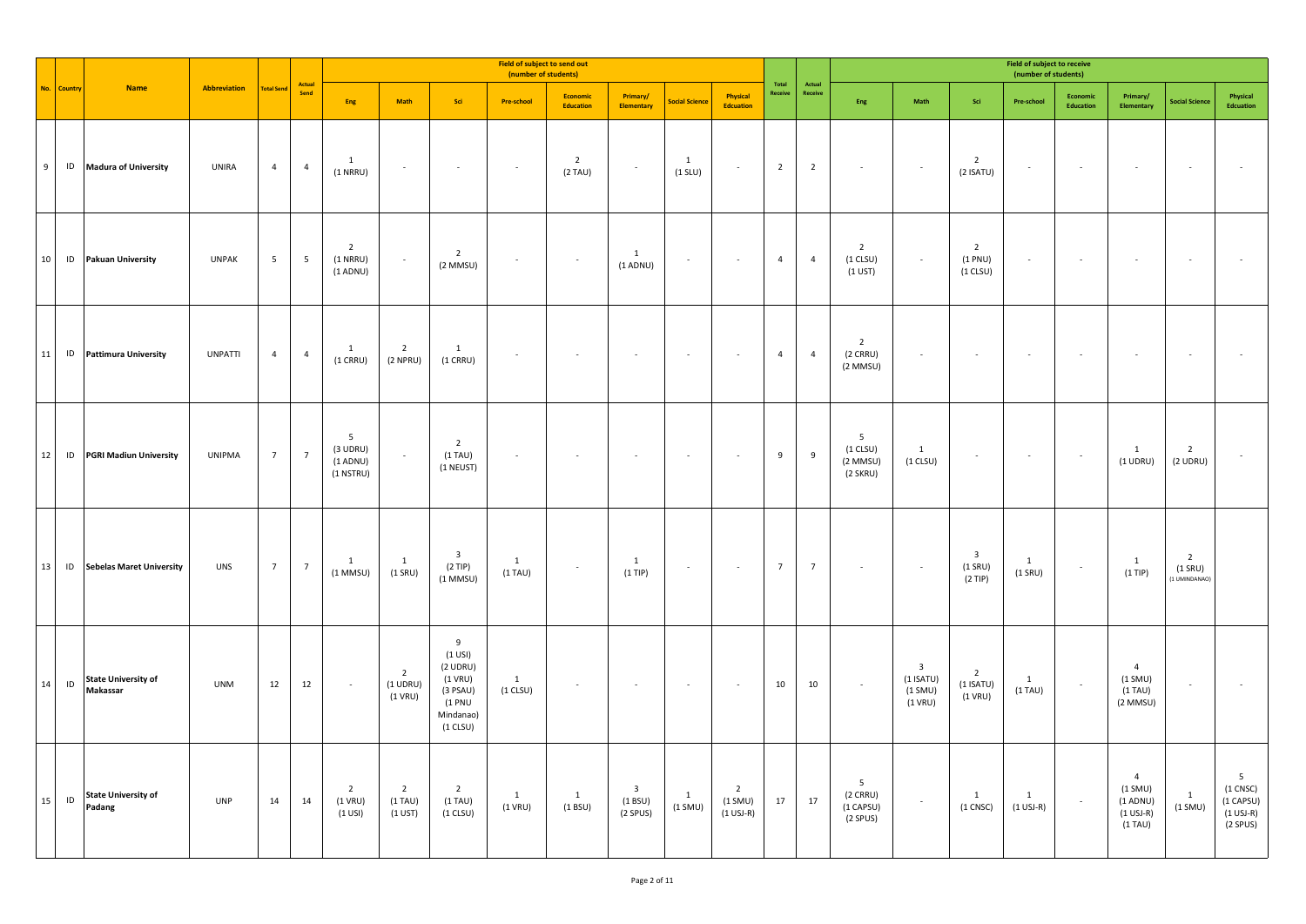|                |          |                                        |                |                   |                |                                                            |                                              |                                                                                                 | Field of subject to send out<br>(number of students) |                              |                                                 |                           |                                            |                  |                   |                                           |                                                                  |                                                   | Field of subject to receive<br>(number of students) |                       |                                                                              |                                              |                                                                                 |
|----------------|----------|----------------------------------------|----------------|-------------------|----------------|------------------------------------------------------------|----------------------------------------------|-------------------------------------------------------------------------------------------------|------------------------------------------------------|------------------------------|-------------------------------------------------|---------------------------|--------------------------------------------|------------------|-------------------|-------------------------------------------|------------------------------------------------------------------|---------------------------------------------------|-----------------------------------------------------|-----------------------|------------------------------------------------------------------------------|----------------------------------------------|---------------------------------------------------------------------------------|
| No.            | Country  | <b>Name</b>                            | Abbreviation   | <b>Total Send</b> | Actual<br>Send | Eng                                                        | Math                                         | Sci                                                                                             | <b>Pre-school</b>                                    | Economic<br>Education        | Primary/<br><b>Elementary</b>                   | <b>Social Science</b>     | Physical<br><b>Edcuation</b>               | Total<br>Receive | Actual<br>Receive | Eng                                       | Math                                                             | Sci                                               | Pre-school                                          | Economic<br>Education | Primary/<br><b>Elementary</b>                                                | <b>Social Science</b>                        | Physical<br>Edcuation                                                           |
| $\overline{9}$ |          | ID Madura of University                | UNIRA          | $\overline{4}$    | $\overline{4}$ | <sup>1</sup><br>$(1$ NRRU)                                 | $\sim$                                       | $\sim$                                                                                          | $\sim$                                               | $\overline{2}$<br>$(2)$ TAU) | $\sim$                                          | 1<br>$(1$ SLU)            | $\sim$                                     | $\overline{2}$   | $\overline{2}$    | $\sim$                                    | $\sim$                                                           | $\overline{2}$<br>$(2$ ISATU)                     | $\sim$                                              | $\sim$                | $\sim$                                                                       | $\epsilon$                                   |                                                                                 |
| 10             |          | ID Pakuan University                   | <b>UNPAK</b>   | $5\overline{)}$   | 5              | $\overline{2}$<br>$(1$ NRRU)<br>$(1$ ADNU)                 | $\sim$                                       | $\overline{2}$<br>$(2$ MMSU)                                                                    | $\overline{\phantom{a}}$                             | $\sim$                       | 1<br>$(1$ ADNU)                                 |                           | $\sim$                                     | $\overline{4}$   | $\overline{4}$    | $\overline{2}$<br>$(1$ CLSU)<br>$(1$ UST) | $\sim$                                                           | $\overline{2}$<br>(1 PNU)<br>$(1$ CLSU)           | $\overline{\phantom{a}}$                            |                       | $\sim$                                                                       | $\overline{\phantom{a}}$                     |                                                                                 |
| 11             |          | ID Pattimura University                | <b>UNPATTI</b> | $\overline{4}$    | $\overline{4}$ | 1<br>$(1$ CRRU)                                            | $\overline{2}$<br>$(2$ NPRU)                 | 1<br>$(1$ CRRU)                                                                                 | $\sim$                                               | $\sim$                       | $\sim$                                          | $\sim$                    | $\sim$                                     | $\overline{4}$   | $\overline{4}$    | $\overline{2}$<br>$(2$ CRRU)<br>(2 MMSU)  | $\epsilon$                                                       | $\sim$                                            | $\sim$                                              | $\sim$                | $\sim$                                                                       | $\sim$                                       |                                                                                 |
| 12             |          | <b>ID</b> PGRI Madiun University       | <b>UNIPMA</b>  | $7\overline{ }$   | $\overline{7}$ | $5\overline{5}$<br>$(3$ UDRU)<br>$(1$ ADNU)<br>$(1$ NSTRU) | $\mathcal{L}_{\mathcal{A}}$                  | $\overline{2}$<br>$(1)$ TAU)<br>(1 NEUST)                                                       | $\overline{\phantom{a}}$                             |                              | $\overline{\phantom{a}}$                        | $\sim$                    | $\sim$                                     | 9                | 9                 | 5<br>$(1$ CLSU)<br>(2 MMSU)<br>(2 SKRU)   | $\overline{1}$<br>$(1$ CLSU)                                     | $\epsilon$                                        | $\sim$                                              | $\sim$                | 1<br>$(1$ UDRU)                                                              | $\overline{2}$<br>$(2$ UDRU)                 |                                                                                 |
| 13             |          | <b>ID</b> Sebelas Maret University     | <b>UNS</b>     | $7\overline{ }$   | $\overline{7}$ | 1<br>$(1$ MMSU)                                            | $\mathbf{1}$<br>$(1$ SRU)                    | $\overline{\mathbf{3}}$<br>$(2$ TIP)<br>$(1$ MMSU)                                              | 1<br>$(1)$ TAU)                                      | $\sim$                       | $\mathbf{1}$<br>$(1$ TIP)                       | $\sim$                    | $\sim$                                     | $7\overline{ }$  | $\overline{7}$    | $\sim$                                    | $\sim$                                                           | $\overline{\mathbf{3}}$<br>$(1$ SRU)<br>$(2$ TIP) | $\mathbf{1}$<br>$(1$ SRU)                           | $\sim$                | $\mathbf{1}$<br>$(1$ TIP)                                                    | $\overline{2}$<br>$(1$ SRU)<br>(1 UMINDANAO) |                                                                                 |
| 14             | $\sf ID$ | <b>State University of</b><br>Makassar | <b>UNM</b>     | 12                | 12             | $\sim$                                                     | $\overline{2}$<br>$(1$ UDRU)<br>$(1$ VRU)    | $9\,$<br>$(1$ USI)<br>$(2$ UDRU)<br>$(1$ VRU)<br>(3 PSAU)<br>(1 PNU)<br>Mindanao)<br>$(1$ CLSU) | 1<br>$(1$ CLSU)                                      | $\sim$                       | $\sim$                                          | $\sim$                    | $\sim$                                     | 10               | 10                | $\sim$                                    | $\overline{\mathbf{3}}$<br>$(1$ ISATU)<br>$(1$ SMU)<br>$(1$ VRU) | $\overline{2}$<br>$(1$ ISATU)<br>$(1$ VRU)        | $\overline{1}$<br>$(1)$ TAU)                        | $\sim$                | $\overline{4}$<br>$(1$ SMU)<br>$(1)$ TAU)<br>(2 MMSU)                        | $\epsilon$                                   |                                                                                 |
| $15\,$         | $\sf ID$ | <b>State University of</b><br>Padang   | <b>UNP</b>     | 14                | 14             | $\overline{2}$<br>$(1$ VRU)<br>$(1$ USI)                   | $\overline{2}$<br>$(1)$ TAU)<br>$(1$ UST $)$ | $\overline{2}$<br>$(1)$ TAU)<br>$(1$ CLSU)                                                      | 1<br>$(1$ VRU)                                       | $\mathbf{1}$<br>(1 B SU)     | $\overline{\mathbf{3}}$<br>(1 B SU)<br>(2 SPUS) | $\mathbf{1}$<br>$(1$ SMU) | $\overline{2}$<br>$(1$ SMU)<br>$(1$ USJ-R) | 17               | 17                | 5<br>$(2$ CRRU)<br>(1 CAPSU)<br>(2 SPUS)  | $\sim$                                                           | $\mathbf{1}$<br>$(1$ CNSC $)$                     | 1<br>$(1 \text{ USJ-R})$                            | $\sim$                | $\overline{4}$<br>(1 SMU)<br>$(1$ ADNU)<br>$(1 \text{ USJ-R})$<br>$(1)$ TAU) | $\mathbf{1}$<br>$(1$ SMU)                    | 5 <sub>5</sub><br>$(1$ CNSC $)$<br>(1 CAPSU)<br>$(1 \text{ USJ-R})$<br>(2 SPUS) |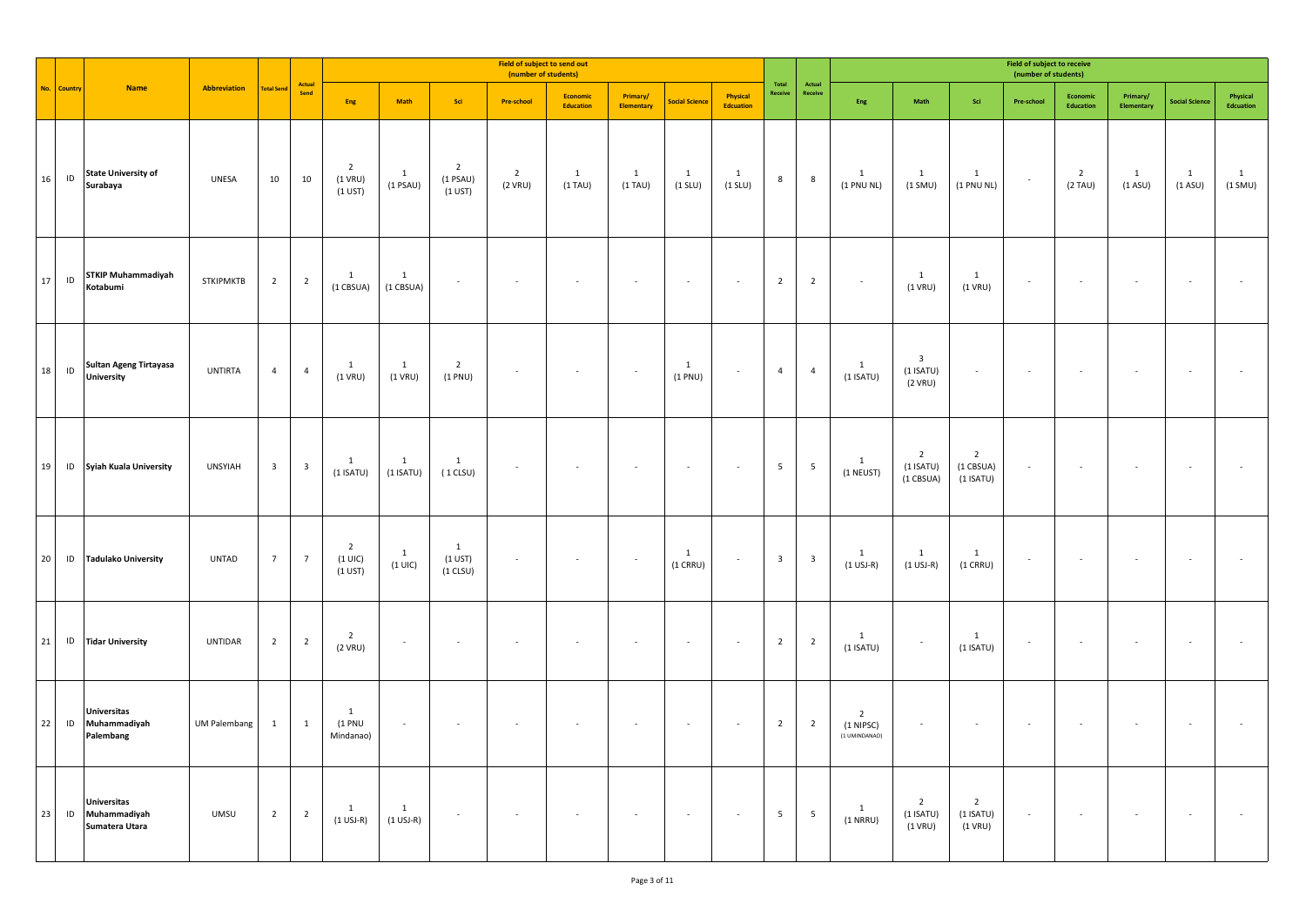|        |               |                                                         |                     |                         |                         |                                          |                             |                                               | Field of subject to send out<br>(number of students) |                            |                               |                           |                              |                         |                         |                                              |                                                     |                                            | Field of subject to receive<br>(number of students) |                           |                           |                          |                         |
|--------|---------------|---------------------------------------------------------|---------------------|-------------------------|-------------------------|------------------------------------------|-----------------------------|-----------------------------------------------|------------------------------------------------------|----------------------------|-------------------------------|---------------------------|------------------------------|-------------------------|-------------------------|----------------------------------------------|-----------------------------------------------------|--------------------------------------------|-----------------------------------------------------|---------------------------|---------------------------|--------------------------|-------------------------|
|        | No. Country   | <b>Name</b>                                             | Abbreviation        | <b>Total Send</b>       | Actual<br>Send          | Eng                                      | Math                        | Sci                                           | Pre-school                                           | Economic<br>Education      | Primary/<br><b>Elementary</b> | Social Science            | Physical<br><b>Edcuation</b> | Total<br>Receive        | Actual<br>Receive       | Eng                                          | Math                                                | Sci                                        | Pre-school                                          | Economic<br>Education     | Primary/<br>Elementary    | <b>Social Science</b>    | Physical<br>Edcuation   |
| 16     | $\sf ID$      | <b>State University of</b><br>Surabaya                  | UNESA               | 10                      | 10                      | $\overline{2}$<br>$(1$ VRU)<br>$(1$ UST) | $\mathbf{1}$<br>$(1$ PSAU)  | $\overline{2}$<br>$(1$ PSAU)<br>$(1 \cup ST)$ | $\overline{2}$<br>(2 VRU)                            | $\mathbf{1}$<br>$(1)$ TAU) | $\mathbf{1}$<br>$(1)$ TAU)    | $\mathbf{1}$<br>$(1$ SLU) | $\mathbf{1}$<br>$(1$ SLU)    | 8                       | 8                       | $\mathbf{1}$<br>(1 PNU NL)                   | $\mathbf{1}$<br>(1 SMU)                             | $\mathbf{1}$<br>(1 PNU NL)                 | $\sim$                                              | $\overline{2}$<br>(2 TAU) | $\mathbf{1}$<br>$(1$ ASU) | $\mathbf{1}$<br>(1 A SU) | $\mathbf{1}$<br>(1 SMU) |
| $17\,$ | $\mathsf{ID}$ | <b>STKIP Muhammadiyah</b><br>Kotabumi                   | <b>STKIPMKTB</b>    | $\overline{2}$          | $\overline{2}$          | $\mathbf{1}$<br>(1 CBSUA)                | <sup>1</sup><br>(1 CBSUA)   |                                               |                                                      |                            | ×.                            |                           | $\sim$                       | $\overline{2}$          | $\overline{2}$          | $\sim$                                       | $\mathbf{1}$<br>$(1$ VRU)                           | $\overline{1}$<br>$(1$ VRU)                | $\sim$                                              | $\sim$                    | $\overline{\phantom{a}}$  | $\epsilon$               |                         |
| 18     | $\sf ID$      | Sultan Ageng Tirtayasa<br><b>University</b>             | UNTIRTA             | $\overline{4}$          | $\overline{4}$          | 1<br>$(1$ VRU)                           | $\mathbf{1}$<br>$(1$ VRU)   | $\overline{2}$<br>(1 PNU)                     | $\sim$                                               |                            | $\sim$                        | $\mathbf{1}$<br>(1 PNU)   | $\sim$                       | $\overline{4}$          | $\overline{4}$          | $\mathbf{1}$<br>$(1$ ISATU)                  | $\overline{\mathbf{3}}$<br>$(1$ ISATU)<br>$(2$ VRU) | $\sim$                                     | $\sim$                                              | $\sim$                    | $\overline{\phantom{a}}$  | $\epsilon$               |                         |
| 19     |               | <b>ID</b> Syiah Kuala University                        | <b>UNSYIAH</b>      | $\overline{\mathbf{3}}$ | $\overline{\mathbf{3}}$ | 1<br>$(1$ ISATU)                         | $\mathbf{1}$<br>$(1$ ISATU) | 1<br>$(1$ CLSU)                               | $\overline{\phantom{a}}$                             |                            | $\sim$                        | $\overline{\phantom{a}}$  | $\sim$                       | 5                       | $5\phantom{a}$          | $\mathbf{1}$<br>(1 NEUST)                    | $\overline{2}$<br>$(1$ ISATU)<br>(1 CBSUA)          | $\overline{2}$<br>(1 CBSUA)<br>$(1$ ISATU) | $\overline{\phantom{a}}$                            | $\overline{\phantom{a}}$  | ÷,                        | $\overline{\phantom{a}}$ |                         |
| 20     |               | <b>ID</b> Tadulako University                           | <b>UNTAD</b>        | $\overline{7}$          | $\overline{7}$          | $\overline{2}$<br>$(1$ UIC)<br>$(1$ UST) | $\overline{1}$<br>$(1$ UIC) | $\mathbf{1}$<br>$(1$ UST)<br>$(1$ CLSU)       | $\sim$                                               |                            | $\sim$                        | 1<br>$(1$ CRRU)           | $\sim$                       | $\overline{\mathbf{3}}$ | $\overline{\mathbf{3}}$ | $\mathbf{1}$<br>$(1$ USJ-R)                  | $\mathbf{1}$<br>$(1$ USJ-R)                         | $\mathbf{1}$<br>$(1$ CRRU)                 | $\epsilon$                                          | $\overline{\phantom{a}}$  | $\overline{\phantom{a}}$  | $\sim$                   |                         |
| 21     |               | <b>ID</b> Tidar University                              | <b>UNTIDAR</b>      | $\overline{2}$          | $\overline{2}$          | $\overline{2}$<br>$(2$ VRU)              | $\sim$                      | $\sim$                                        | $\sim$                                               |                            | ×.                            | ÷.                        | $\sim$                       | $\overline{2}$          | $\overline{2}$          | $\mathbf{1}$<br>$(1$ ISATU)                  | $\sim$                                              | $\overline{1}$<br>$(1$ ISATU)              | $\sim$                                              | $\sim$                    | $\sim$                    | $\sim$                   |                         |
| 22     |               | <b>Universitas</b><br>ID Muhammadiyah<br>Palembang      | <b>UM Palembang</b> | $\mathbf{1}$            | $\mathbf{1}$            | 1<br>(1 PNU<br>Mindanao)                 | $\sim$                      |                                               |                                                      |                            | ×.                            | $\sim$                    | $\sim$                       | $\overline{2}$          | $\overline{2}$          | $\overline{2}$<br>(1 NIPSC)<br>(1 UMINDANAO) | ÷                                                   | $\sim$                                     | $\sim$                                              | $\sim$                    |                           | $\sim$                   |                         |
| 23     |               | <b>Universitas</b><br>ID Muhammadiyah<br>Sumatera Utara | UMSU                | $\overline{2}$          | $\overline{2}$          | $\mathbf{1}$<br>$(1$ USJ-R)              | $\mathbf{1}$<br>$(1$ USJ-R) | $\cdot$                                       | $\sim$                                               |                            | $\sim$                        | $\sim$                    | $\cdot$                      | $\overline{5}$          | $\overline{5}$          | $\mathbf{1}$<br>$(1$ NRRU)                   | $\overline{2}$<br>$(1$ ISATU)<br>$(1$ VRU)          | $\overline{2}$<br>$(1$ ISATU)<br>$(1$ VRU) | $\sim$                                              | $\epsilon$                | $\sim$                    | $\sim$                   |                         |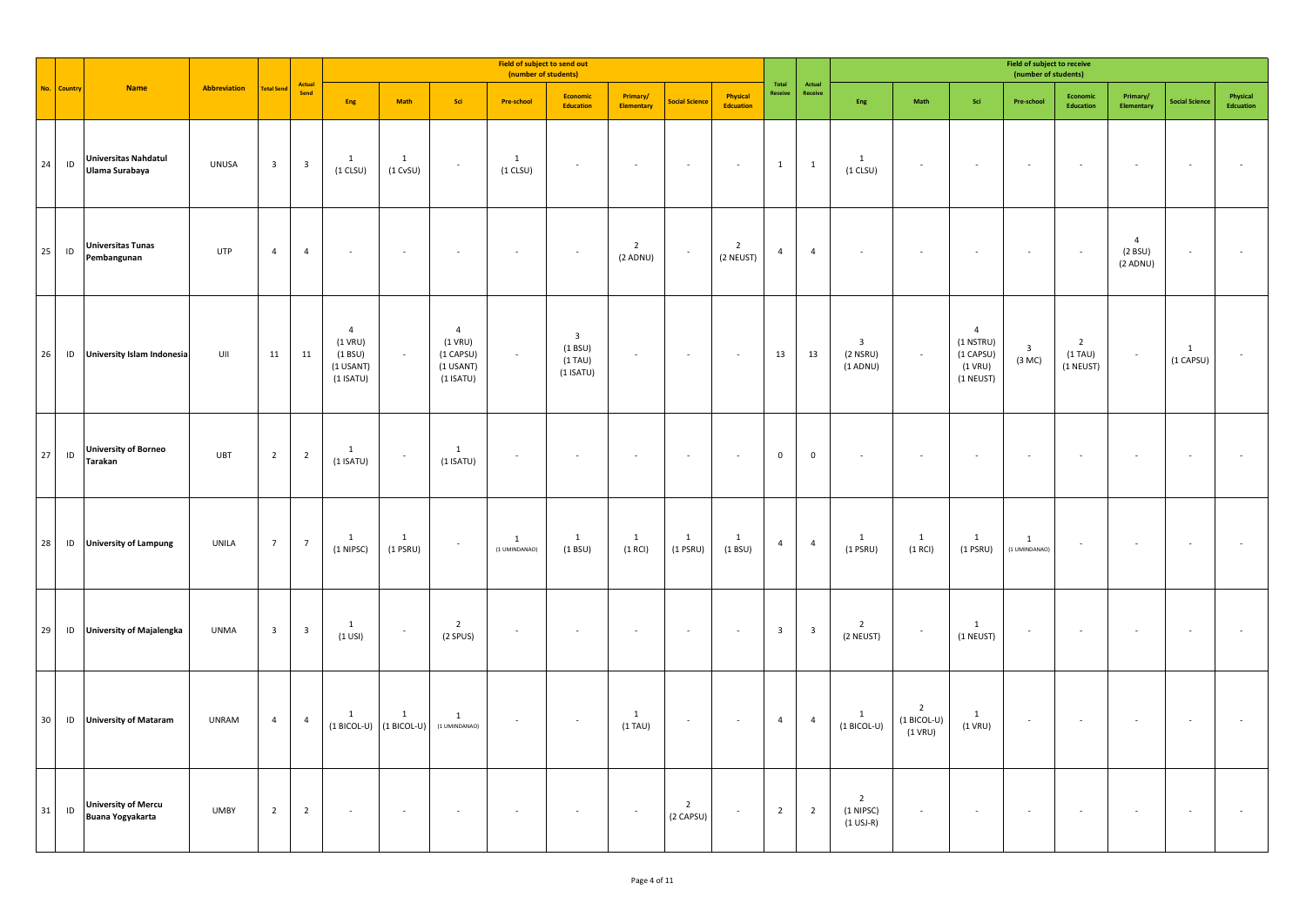|                 |               |                                                       |              |                         |                         |                                                                     |                               |                                                                      | Field of subject to send out<br>(number of students) |                                                                 |                            |                             |                              |                         |                         |                                            |                                              |                                                                    | Field of subject to receive<br>(number of students) |                                           |                                          |                          |                       |
|-----------------|---------------|-------------------------------------------------------|--------------|-------------------------|-------------------------|---------------------------------------------------------------------|-------------------------------|----------------------------------------------------------------------|------------------------------------------------------|-----------------------------------------------------------------|----------------------------|-----------------------------|------------------------------|-------------------------|-------------------------|--------------------------------------------|----------------------------------------------|--------------------------------------------------------------------|-----------------------------------------------------|-------------------------------------------|------------------------------------------|--------------------------|-----------------------|
|                 | No. Country   | <b>Name</b>                                           | Abbreviation | <b>Total Send</b>       | Actual<br>Send          | Eng                                                                 | Math                          | Sci                                                                  | <b>Pre-school</b>                                    | Economic<br>Education                                           | Primary/<br>Elementary     | <b>Social Science</b>       | Physical<br><b>Edcuation</b> | Total<br>Receive        | Actual<br>Receive       | ${\sf Eng}$                                | Math                                         | Sci                                                                | Pre-school                                          | Economic<br>Education                     | Primary/<br>Elementary                   | <b>Social Science</b>    | Physical<br>Edcuation |
| 24              | $\sf ID$      | <b>Universitas Nahdatul</b><br>Ulama Surabaya         | <b>UNUSA</b> | $\overline{\mathbf{3}}$ | $\overline{\mathbf{3}}$ | $\mathbf{1}$<br>$(1$ CLSU)                                          | 1<br>$(1$ CvSU)               | $\sim$                                                               | 1<br>$(1$ CLSU)                                      | $\sim$                                                          | $\overline{\phantom{a}}$   | $\sim$                      | $\sim$                       | $\mathbf{1}$            | $\mathbf{1}$            | $\mathbf{1}$<br>$(1$ CLSU)                 | $\overline{\phantom{a}}$                     | $\sim$                                                             | $\sim$                                              |                                           | $\overline{\phantom{a}}$                 | $\overline{\phantom{a}}$ | ×                     |
| $25\,$          | $\sf ID$      | <b>Universitas Tunas</b><br>Pembangunan               | UTP          | $\overline{4}$          | $\overline{4}$          | $\overline{\phantom{a}}$                                            | $\sim$                        | $\epsilon$                                                           | $\overline{\phantom{a}}$                             | $\sim$                                                          | $\overline{2}$<br>(2 ADNU) | $\sim$                      | $\overline{2}$<br>(2 NEUST)  | $\overline{4}$          | $\overline{4}$          |                                            | $\sim$                                       | $\epsilon$                                                         | $\sim$                                              | $\sim$                                    | $\overline{4}$<br>(2 B SU)<br>$(2$ ADNU) | ٠                        |                       |
| 26              | $\sf ID$      | University Islam Indonesia                            | UII          | 11                      | 11                      | $\overline{4}$<br>$(1$ VRU)<br>(1 B SU)<br>(1 USANT)<br>$(1$ ISATU) | $\overline{\phantom{a}}$      | $\overline{4}$<br>$(1$ VRU)<br>(1 CAPSU)<br>(1 USANT)<br>$(1$ ISATU) | $\overline{\phantom{a}}$                             | $\overline{\mathbf{3}}$<br>(1 BSU)<br>$(1)$ TAU)<br>$(1$ ISATU) | $\epsilon$                 | $\sim$                      | $\sim$                       | 13                      | 13                      | $\mathbf{3}$<br>$(2$ NSRU)<br>$(1$ ADNU)   | $\overline{\phantom{a}}$                     | $\overline{4}$<br>(1 NSTRU)<br>(1 CAPSU)<br>$(1$ VRU)<br>(1 NEUST) | $\overline{\mathbf{3}}$<br>(3 MC)                   | $\overline{2}$<br>$(1)$ TAU)<br>(1 NEUST) | $\sim$                                   | 1<br>(1 CAPSU)           |                       |
| 27              | $\mathsf{ID}$ | <b>University of Borneo</b><br>Tarakan                | <b>UBT</b>   | $\overline{2}$          | $\overline{\mathbf{c}}$ | 1<br>$(1$ ISATU)                                                    | $\cdot$                       | $\mathbf{1}$<br>$(1$ ISATU)                                          | $\sim$                                               |                                                                 |                            |                             |                              | $\mathbf 0$             | $\mathsf 0$             |                                            |                                              |                                                                    |                                                     |                                           |                                          |                          |                       |
| 28              | $\sf ID$      | <b>University of Lampung</b>                          | UNILA        | $7\overline{ }$         | $\overline{7}$          | $\mathbf{1}$<br>(1 NIPSC)                                           | 1<br>$(1$ PSRU)               | $\overline{\phantom{a}}$                                             | $\mathbf{1}$<br>(1 UMINDANAO)                        | 1<br>(1 BSU)                                                    | $\mathbf{1}$<br>$(1$ RCI)  | $\mathbf{1}$<br>$(1$ PSRU)  | $\mathbf{1}$<br>(1 B SU)     | $\overline{4}$          | $\overline{4}$          | $\mathbf{1}$<br>$(1$ PSRU)                 | $\mathbf{1}$<br>$(1$ RCI)                    | $\mathbf{1}$<br>$(1$ PSRU)                                         | $\mathbf{1}$<br>(1 UMINDANAO)                       |                                           | $\sim$                                   |                          |                       |
| 29              | ID            | <b>University of Majalengka</b>                       | <b>UNMA</b>  | $\overline{\mathbf{3}}$ | $\overline{\mathbf{3}}$ | $\mathbf{1}$<br>$(1$ USI)                                           | $\overline{\phantom{a}}$      | $\overline{2}$<br>(2 SPUS)                                           | $\sim$                                               |                                                                 |                            |                             | $\sim$                       | $\overline{\mathbf{3}}$ | $\overline{\mathbf{3}}$ | $\overline{2}$<br>(2 NEUST)                |                                              | $\mathbf{1}$<br>(1 NEUST)                                          | $\sim$                                              |                                           |                                          |                          |                       |
| 30 <sup>°</sup> |               | ID University of Mataram                              | <b>UNRAM</b> | $\overline{4}$          | $\overline{4}$          | $\mathbf{1}$<br>$(1 BICOL-U)$                                       | $\mathbf{1}$<br>$(1 BICOL-U)$ | $\mathbf{1}$<br>(1 UMINDANAO)                                        | $\overline{\phantom{a}}$                             | $\sim$                                                          | $\mathbf{1}$<br>$(1)$ TAU) | $\sim$                      | $\sim$                       | $\overline{4}$          | $\overline{4}$          | $\mathbf{1}$<br>$(1 BICOL-U)$              | $\overline{2}$<br>$(1 BICOL-U)$<br>$(1$ VRU) | $\mathbf{1}$<br>$(1$ VRU)                                          | $\sim$                                              |                                           | $\sim$                                   |                          |                       |
| 31              | $\sf ID$      | <b>University of Mercu</b><br><b>Buana Yogyakarta</b> | <b>UMBY</b>  | $\overline{2}$          | $\overline{2}$          | $\sim$                                                              | $\sim$                        |                                                                      |                                                      |                                                                 | $\sim$                     | $\overline{2}$<br>(2 CAPSU) |                              | $\overline{2}$          | $\overline{2}$          | $\overline{2}$<br>(1 NIPSC)<br>$(1$ USJ-R) | ÷                                            |                                                                    | $\sim$                                              |                                           |                                          |                          |                       |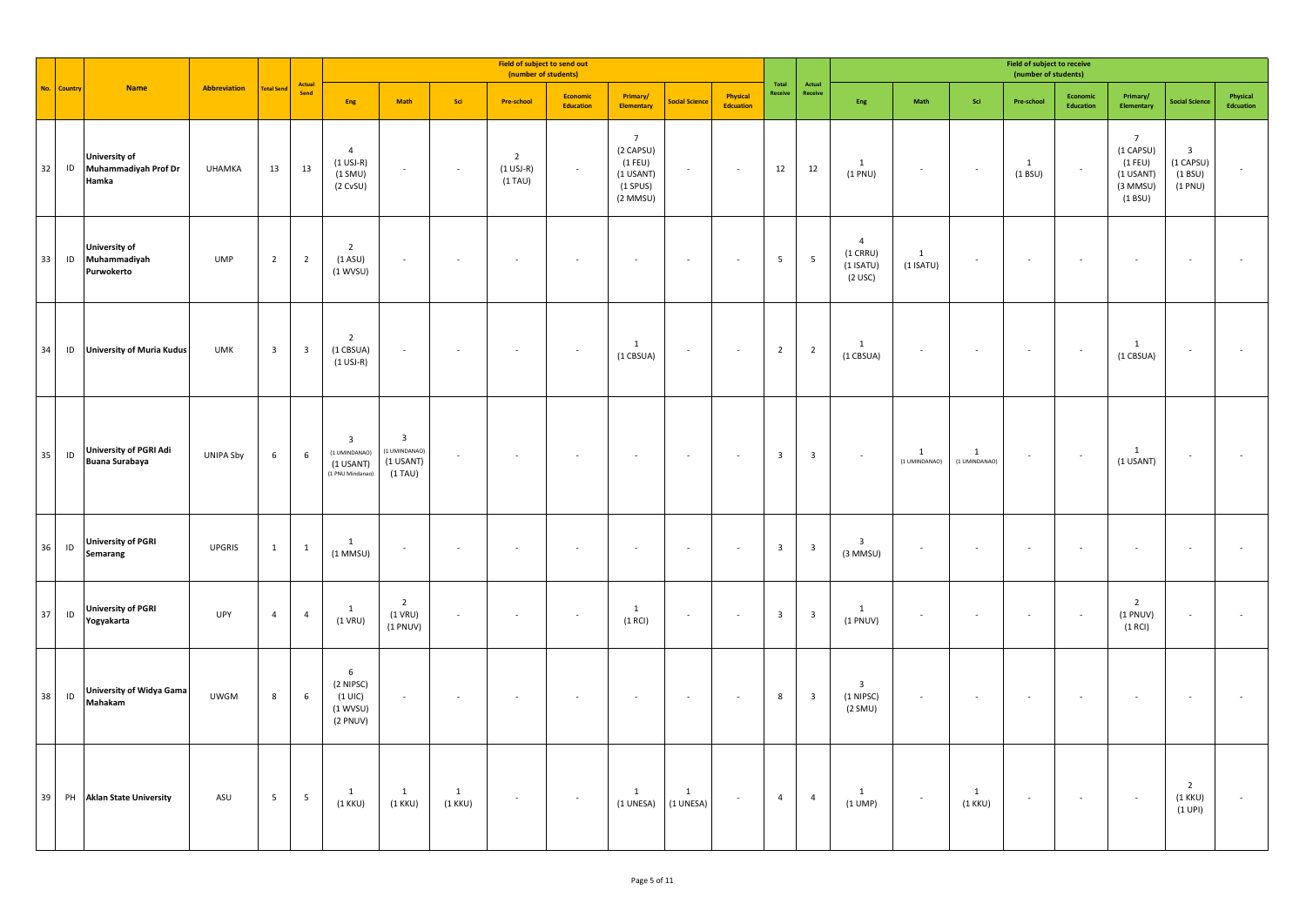|    |               |                                                        |               |                         |                         |                                                                           |                                                                      |                             |                                                     |                       |                                                                                   |                           |                              | <b>Field of subject to receive</b><br>(number of students) |                         |                                                          |                                |                               |                          |                          |                                                                                  |                                                             |                          |
|----|---------------|--------------------------------------------------------|---------------|-------------------------|-------------------------|---------------------------------------------------------------------------|----------------------------------------------------------------------|-----------------------------|-----------------------------------------------------|-----------------------|-----------------------------------------------------------------------------------|---------------------------|------------------------------|------------------------------------------------------------|-------------------------|----------------------------------------------------------|--------------------------------|-------------------------------|--------------------------|--------------------------|----------------------------------------------------------------------------------|-------------------------------------------------------------|--------------------------|
|    | No. Countr    | <b>Name</b>                                            | Abbreviation  | <b>Total Send</b>       | Actual<br>Send          | Eng                                                                       | Math                                                                 | Sci                         | <b>Pre-school</b>                                   | Economic<br>Education | Primary/<br><b>Elementary</b>                                                     | <b>Social Science</b>     | Physical<br><b>Edcuation</b> | Total<br>Receive                                           | Actual<br>Receive       | Eng                                                      | $\operatorname{\mathsf{Math}}$ | Sci                           | Pre-school               | Economic<br>Education    | Primary/<br>Elementary                                                           | <b>Social Science</b>                                       | Physical<br>Edcuation    |
| 32 | ID            | <b>University of</b><br>Muhammadiyah Prof Dr<br>Hamka  | <b>UHAMKA</b> | 13                      | 13                      | $\overline{4}$<br>$(1$ USJ-R)<br>$(1$ SMU)<br>(2 CVSU)                    | $\overline{\phantom{a}}$                                             | $\sim$                      | $\overline{2}$<br>$(1 \text{ USJ-R})$<br>$(1)$ TAU) | $\sim$                | $\overline{7}$<br>(2 CAPSU)<br>$(1$ FEU)<br>(1 USANT)<br>$(1$ SPUS)<br>$(2$ MMSU) | $\sim$                    | $\sim$                       | 12                                                         | 12                      | $\mathbf{1}$<br>(1 PNU)                                  | $\sim$                         | $\sim$                        | $\mathbf{1}$<br>(1 B SU) | $\sim$                   | $7\overline{ }$<br>(1 CAPSU)<br>$(1$ FEU)<br>(1 USANT)<br>$(3$ MMSU)<br>(1 B SU) | $\overline{\mathbf{3}}$<br>(1 CAPSU)<br>(1 B SU)<br>(1 PNU) | $\overline{\phantom{a}}$ |
| 33 |               | <b>University of</b><br>ID Muhammadiyah<br>Purwokerto  | <b>UMP</b>    | 2                       | $\overline{2}$          | $\overline{2}$<br>$(1$ ASU)<br>(1 WVSU)                                   | $\sim$                                                               | ۰.                          |                                                     |                       | $\sim$                                                                            | $\sim$                    | $\overline{\phantom{a}}$     | $5\phantom{.0}$                                            | $\overline{5}$          | $\overline{4}$<br>$(1$ CRRU)<br>$(1$ ISATU)<br>$(2$ USC) | $\mathbf{1}$<br>$(1$ ISATU)    | $\overline{\phantom{a}}$      | $\sim$                   | $\sim$                   | $\sim$                                                                           | $\overline{\phantom{a}}$                                    | $\sim$                   |
|    |               | 34 ID University of Muria Kudus                        | <b>UMK</b>    | $\overline{\mathbf{3}}$ | $\overline{\mathbf{3}}$ | $\overline{2}$<br>(1 CBSUA)<br>$(1 \text{ USJ-R})$                        | $\sim$                                                               | $\sim$                      | $\sim$                                              |                       | 1<br>(1 CBSUA)                                                                    | $\sim$                    | $\sim$                       | $\overline{2}$                                             | $\overline{2}$          | $\mathbf{1}$<br>(1 CBSUA)                                | $\sim$                         | $\sim$                        | $\sim$                   | $\sim$                   | $\mathbf{1}$<br>(1 CBSUA)                                                        | $\sim$                                                      |                          |
| 35 | $\mathsf{ID}$ | <b>University of PGRI Adi</b><br><b>Buana Surabaya</b> | UNIPA Sby     | 6                       | 6                       | $\overline{\mathbf{3}}$<br>(1 UMINDANAO)<br>(1 USANT)<br>(1 PNU Mindanao) | $\overline{\mathbf{3}}$<br>1 UMINDANAO)<br>$(1$ USANT)<br>$(1)$ TAU) | $\sim$                      | $\sim$                                              |                       | $\sim$                                                                            | $\sim$                    | $\sim$                       | $\overline{\mathbf{3}}$                                    | $\overline{\mathbf{3}}$ | $\sim$                                                   | $\mathbf{1}$<br>(1 UMINDANAO)  | $\mathbf{1}$<br>(1 UMINDANAO) | $\sim$                   | $\sim$                   | 1<br>(1 USANT)                                                                   | $\sim$                                                      |                          |
| 36 | ID            | <b>University of PGRI</b><br>Semarang                  | <b>UPGRIS</b> | $\mathbf{1}$            | $\mathbf{1}$            | 1<br>$(1$ MMSU)                                                           | $\mathcal{L}_{\mathcal{A}}$                                          | $\sim$                      | $\bar{z}$                                           |                       | $\sim$                                                                            | $\sim$                    | $\mathcal{L}_{\mathcal{A}}$  | $\overline{\mathbf{3}}$                                    | $\overline{\mathbf{3}}$ | $\mathbf{3}$<br>(3 MMSU)                                 | $\overline{\phantom{a}}$       | $\sim$                        | $\sim$                   | $\cdot$                  | $\sim$                                                                           | $\sim$                                                      | ×,                       |
| 37 | ID            | <b>University of PGRI</b><br>Yogyakarta                | <b>UPY</b>    | $\overline{4}$          | $\overline{4}$          | 1<br>$(1$ VRU)                                                            | $\overline{2}$<br>$(1$ VRU)<br>$(1$ PNUV)                            | $\sim$                      | $\sim$                                              | $\sim$                | $\mathbf{1}$<br>(1 RCI)                                                           | $\sim$                    | $\sim$                       | $\overline{\mathbf{3}}$                                    | $\overline{\mathbf{3}}$ | $\mathbf{1}$<br>$(1$ PNUV)                               | $\sim$                         | $\sim$                        | $\sim$                   | $\sim$                   | $\overline{2}$<br>$(1$ PNUV)<br>(1 RCI)                                          | $\sim$                                                      | ×.                       |
| 38 | ID            | <b>University of Widya Gama</b><br>Mahakam             | <b>UWGM</b>   | 8                       | 6                       | 6<br>(2 NIPSC)<br>$(1 \cup C)$<br>(1 WVSU)<br>(2 PNUV)                    | $\overline{\phantom{a}}$                                             | $\sim$                      | $\overline{\phantom{a}}$                            |                       | $\sim$                                                                            | $\sim$                    | $\epsilon$                   | 8                                                          | $\overline{\mathbf{3}}$ | $\overline{3}$<br>(1 NIPSC)<br>(2 SMU)                   | $\overline{\phantom{a}}$       | $\sim$                        | $\sim$                   | $\overline{\phantom{a}}$ | $\sim$                                                                           | $\sim$                                                      | ×,                       |
|    |               | 39 PH Aklan State University                           | ASU           | 5 <sub>1</sub>          | $5\phantom{.0}$         | $\mathbf{1}$<br>$(1$ KKU)                                                 | 1<br>$(1$ KKU)                                                       | $\overline{1}$<br>$(1$ KKU) | $\epsilon$                                          | $\sim$                | $\mathbf{1}$<br>(1 UNESA)                                                         | $\mathbf{1}$<br>(1 UNESA) | $\epsilon$                   | $\overline{4}$                                             | $\overline{4}$          | $\mathbf{1}$<br>$(1$ UMP)                                | $\sim$                         | $\mathbf{1}$<br>$(1$ KKU)     | $\sim$                   | $\sim$                   | $\sim$                                                                           | $\overline{2}$<br>$(1$ KKU)<br>(1 UPI)                      | ×.                       |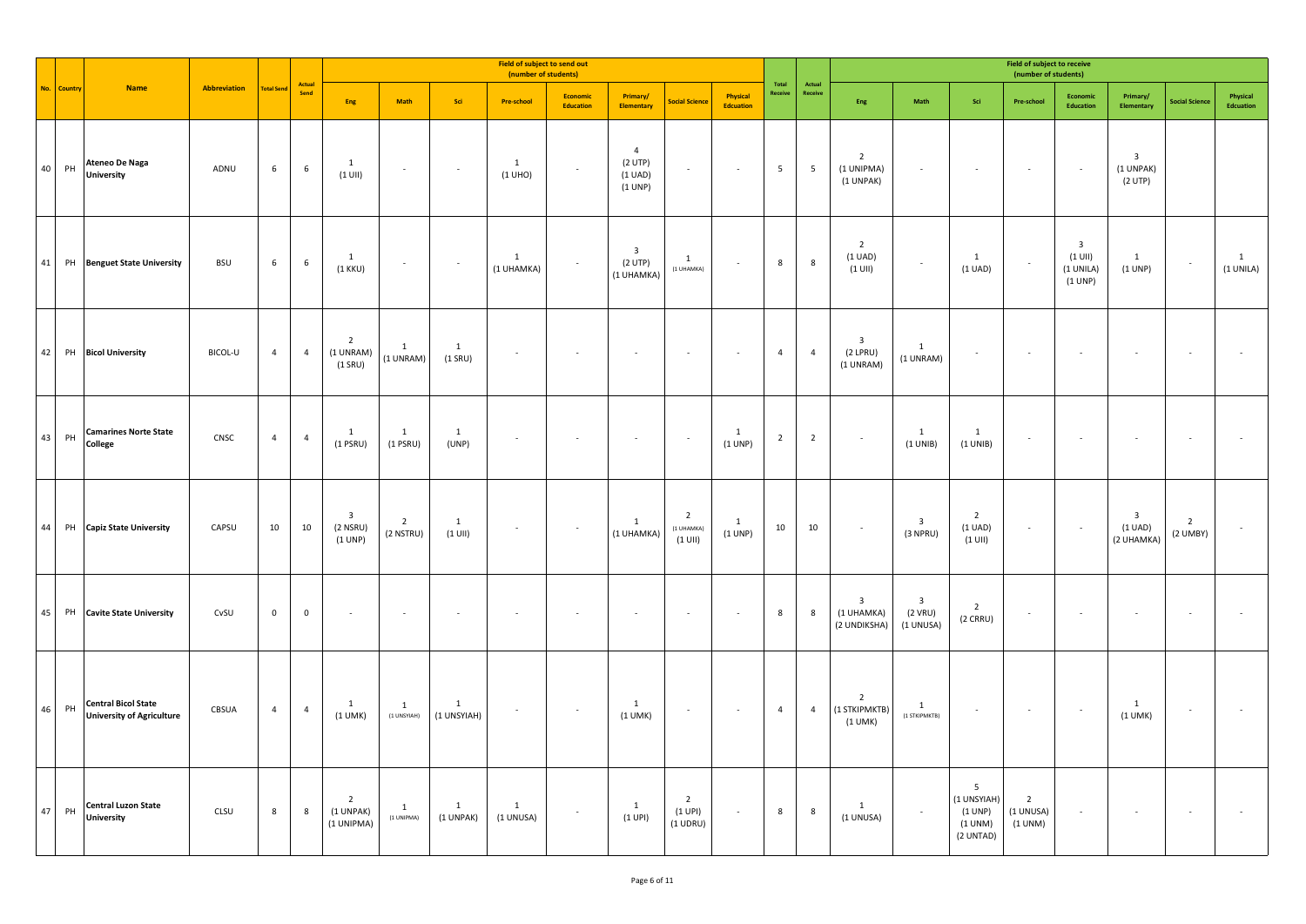|    |            |                                                                |              |                     |                |                                                  |                             |                             | Field of subject to send out<br>(number of students) |                                     |                                                             |                                           |                              |                                            |                          |                                                       |                                                 |                                                                  | <b>Field of subject to receive</b><br>(number of students) |                                                              |                                                            |                              |                           |
|----|------------|----------------------------------------------------------------|--------------|---------------------|----------------|--------------------------------------------------|-----------------------------|-----------------------------|------------------------------------------------------|-------------------------------------|-------------------------------------------------------------|-------------------------------------------|------------------------------|--------------------------------------------|--------------------------|-------------------------------------------------------|-------------------------------------------------|------------------------------------------------------------------|------------------------------------------------------------|--------------------------------------------------------------|------------------------------------------------------------|------------------------------|---------------------------|
|    | No. Countr | <b>Name</b>                                                    | Abbreviation | <b>Total Send</b>   | Actual<br>Send | Eng                                              | Math                        | Sci                         | <b>Pre-school</b>                                    | <b>Economic</b><br><b>Education</b> | Primary/<br><b>Elementary</b>                               | <b>Social Science</b>                     | Physical<br><b>Edcuation</b> | $\operatorname{\mathsf{Total}}$<br>Receive | Actual<br>Receive        | Eng                                                   | Math                                            | Sci                                                              | Pre-school                                                 | <b>Economic</b><br><b>Education</b>                          | Primary/<br>Elementary                                     | <b>Social Science</b>        | Physical<br>Edcuation     |
|    | 40 PH      | <b>Ateneo De Naga</b><br><b>University</b>                     | ADNU         | $\,$ 6 $\,$         | 6              | $\mathbf{1}$<br>$(1$ UII)                        | $\sim$                      | $\sim$                      | $\mathbf{1}$<br>(1 UHO)                              | $\sim$                              | $\overline{4}$<br>$(2$ UTP)<br>$(1 \text{ UAD})$<br>(1 UNP) | $\sim$                                    | $\sim$                       | 5                                          | $\overline{\phantom{a}}$ | $\overline{2}$<br>(1 UNIPMA)<br>(1 UNPAK)             | $\sim$                                          | $\sim$                                                           | $\sim$                                                     | $\sim$                                                       | $\overline{\mathbf{3}}$<br>(1 UNPAK)<br>(2 UTP)            |                              |                           |
|    |            | 41 PH Benguet State University                                 | <b>BSU</b>   | $6\phantom{.0}$     | 6              | $\mathbf{1}$<br>$(1$ KKU)                        | $\sim$                      | $\sim$                      | $\mathbf{1}$<br>(1 UHAMKA)                           | $\sim$                              | $\overline{\mathbf{3}}$<br>(2 UTP)<br>(1 UHAMKA)            | $\mathbf{1}$<br>(1 UHAMKA)                | $\sim$                       | $\bf 8$                                    | $\bf 8$                  | $\overline{2}$<br>(1 UAD)<br>$(1$ UII)                | $\overline{\phantom{a}}$                        | $\overline{1}$<br>$(1 \text{ UAD})$                              | $\sim$                                                     | $\overline{\mathbf{3}}$<br>$(1$ UII)<br>(1 UNILA)<br>(1 UNP) | 1<br>(1 UNP)                                               | $\sim$                       | $\mathbf{1}$<br>(1 UNILA) |
|    |            | 42 PH Bicol University                                         | BICOL-U      | $\overline{4}$      | $\overline{4}$ | $\overline{2}$<br>(1 UNRAM)<br>$(1$ SRU)         | $\mathbf{1}$<br>(1 UNRAM)   | $\mathbf{1}$<br>$(1$ SRU)   | ×                                                    |                                     | $\overline{\phantom{a}}$                                    |                                           |                              | $\overline{4}$                             | $\overline{4}$           | $\overline{\mathbf{3}}$<br>$(2$ LPRU)<br>(1 UNRAM)    | $\mathbf{1}$<br>(1 UNRAM)                       |                                                                  | $\sim$                                                     | $\sim$                                                       | ×.                                                         |                              |                           |
|    | 43 PH      | <b>Camarines Norte State</b><br>College                        | CNSC         | $\overline{4}$      | $\overline{4}$ | $\mathbf{1}$<br>$(1$ PSRU)                       | $\mathbf{1}$<br>$(1$ PSRU)  | $\mathbf{1}$<br>(UNP)       | $\overline{\phantom{a}}$                             |                                     | $\overline{\phantom{a}}$                                    | $\sim$                                    | $\mathbf{1}$<br>(1 UNP)      | $\overline{2}$                             | $\overline{2}$           | $\sim$                                                | $\mathbf{1}$<br>(1 UNIB)                        | $\mathbf{1}$<br>(1 UNIB)                                         | $\overline{\phantom{a}}$                                   | $\sim$                                                       | ×.                                                         | $\overline{\phantom{a}}$     |                           |
| 44 | PH         | <b>Capiz State University</b>                                  | CAPSU        | 10                  | 10             | $\overline{\mathbf{3}}$<br>$(2$ NSRU)<br>(1 UNP) | $\overline{2}$<br>(2 NSTRU) | 1<br>$(1$ UII)              | ٠                                                    | $\sim$                              | 1<br>(1 UHAMKA)                                             | $\overline{2}$<br>(1 UHAMKA)<br>$(1$ UII) | 1<br>(1 UNP)                 | 10                                         | 10                       | $\sim$                                                | $\overline{\mathbf{3}}$<br>(3 NPRU)             | $\overline{2}$<br>$(1 \text{ UAD})$<br>$(1$ UII)                 | $\sim$                                                     | $\sim$                                                       | $\overline{\mathbf{3}}$<br>$(1 \text{ UAD})$<br>(2 UHAMKA) | $\overline{2}$<br>$(2$ UMBY) |                           |
|    | 45 PH      | <b>Cavite State University</b>                                 | CvSU         | $\mathsf{O}\xspace$ | $\overline{0}$ | ÷.                                               |                             |                             |                                                      |                                     | $\overline{\phantom{a}}$                                    | $\sim$                                    | $\sim$                       | $\,$ 8                                     | 8                        | $\overline{\mathbf{3}}$<br>(1 UHAMKA)<br>(2 UNDIKSHA) | $\overline{\mathbf{3}}$<br>(2 VRU)<br>(1 UNUSA) | $\overline{2}$<br>(2 CRRU)                                       | $\sim$                                                     | $\epsilon$                                                   | $\overline{\phantom{a}}$                                   |                              |                           |
|    | 46 PH      | <b>Central Bicol State</b><br><b>University of Agriculture</b> | CBSUA        | $\overline{a}$      | $\overline{4}$ | 1<br>$(1$ UMK)                                   | 1<br>(1 UNSYIAH)            | $\mathbf{1}$<br>(1 UNSYIAH) | ٠                                                    | $\sim$                              | $\overline{1}$<br>$(1$ UMK)                                 | $\sim$                                    | $\sim$                       | $\overline{4}$                             | $\overline{4}$           | $\overline{2}$<br>(1 STKIPMKTB)<br>$(1$ UMK)          | 1<br>(1 STKIPMKTB)                              | $\sim$                                                           | $\sim$                                                     | $\sim$                                                       | $\mathbf{1}$<br>$(1$ UMK)                                  | $\sim$                       |                           |
|    | 47 PH      | <b>Central Luzon State</b><br><b>University</b>                | CLSU         | 8                   | 8              | $\overline{2}$<br>(1 UNPAK)<br>(1 UNIPMA)        | <sup>1</sup><br>(1 UNIPMA)  | 1<br>(1 UNPAK)              | 1<br>(1 UNUSA)                                       | $\sim$                              | $\mathbf{1}$<br>(1 UPI)                                     | $\overline{2}$<br>(1 UPI)<br>$(1$ UDRU)   | $\sim$                       | 8                                          | 8                        | $\mathbf{1}$<br>(1 UNUSA)                             | $\sim$                                          | 5 <sup>5</sup><br>(1 UNSYIAH)<br>(1 UNP)<br>(1 UNM)<br>(2 UNTAD) | $\overline{2}$<br>(1 UNUSA)<br>(1 UNM)                     | $\sim$                                                       | ÷                                                          | $\sim$                       |                           |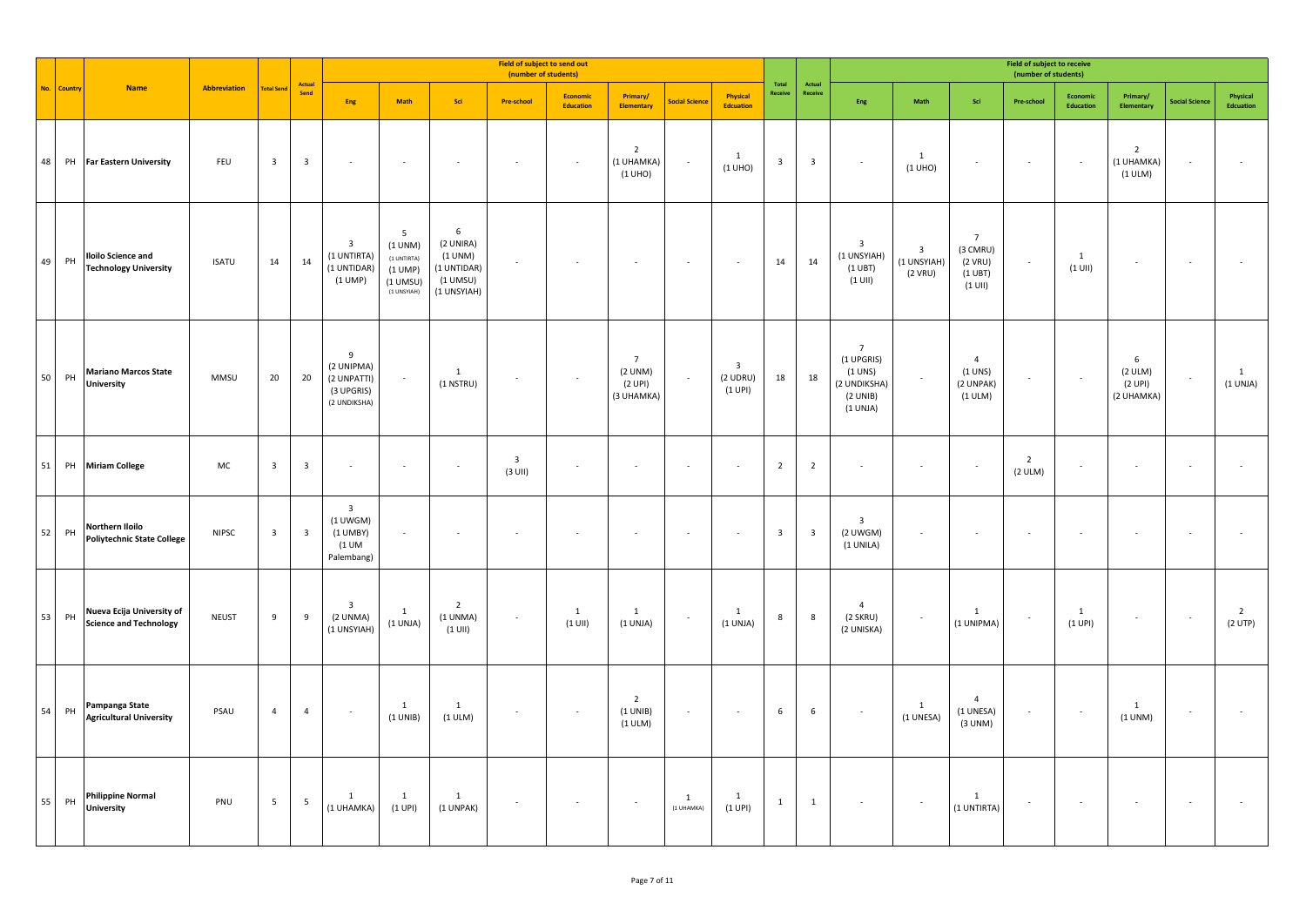|            |             |                                                            |                     |                         |                         |                                                                            |                                                                     |                                                                            | Field of subject to send out<br>(number of students) |                       |                                                    |                       |                                                  |                         |                         |                                                                                   |                                          |                                                                       | <b>Field of subject to receive</b><br>(number of students) |                              |                                         |                       |                                |
|------------|-------------|------------------------------------------------------------|---------------------|-------------------------|-------------------------|----------------------------------------------------------------------------|---------------------------------------------------------------------|----------------------------------------------------------------------------|------------------------------------------------------|-----------------------|----------------------------------------------------|-----------------------|--------------------------------------------------|-------------------------|-------------------------|-----------------------------------------------------------------------------------|------------------------------------------|-----------------------------------------------------------------------|------------------------------------------------------------|------------------------------|-----------------------------------------|-----------------------|--------------------------------|
|            | No. Country | <b>Name</b>                                                | <b>Abbreviation</b> | <b>Total Send</b>       | Actual<br>Send          | Eng                                                                        | <b>Math</b>                                                         | Sci                                                                        | <b>Pre-school</b>                                    | Economic<br>Education | Primary/<br><b>Elementary</b>                      | <b>Social Science</b> | Physical<br><b>Edcuation</b>                     | Total<br>Receive        | Actual<br>Receive       | Eng                                                                               | Math                                     | Sci                                                                   | Pre-school                                                 | Economic<br><b>Education</b> | Primary/<br><b>Elementary</b>           | <b>Social Science</b> | Physical<br><b>Edcuation</b>   |
| 48         | PH          | <b>Far Eastern University</b>                              | FEU                 | $\overline{\mathbf{3}}$ | $\overline{\mathbf{3}}$ |                                                                            |                                                                     |                                                                            |                                                      |                       | $\overline{2}$<br>(1 UHAMKA)<br>(1 UHO)            |                       | $\mathbf{1}$<br>(1 UHO)                          | $\overline{\mathbf{3}}$ | $\overline{\mathbf{3}}$ | $\sim$                                                                            | 1<br>(1 UHO)                             |                                                                       | $\sim$                                                     | $\overline{\phantom{a}}$     | $\overline{2}$<br>(1 UHAMKA)<br>(1 ULM) |                       |                                |
| 49         | PH          | <b>Iloilo Science and</b><br><b>Technology University</b>  | <b>ISATU</b>        | 14                      | 14                      | $\overline{\mathbf{3}}$<br>(1 UNTIRTA)<br>(1 UNTIDAR)<br>(1 UMP)           | 5<br>(1 UNM)<br>(1 UNTIRTA)<br>(1 UMP)<br>$(1$ UMSU)<br>(1 UNSYIAH) | $\,$ 6<br>(2 UNIRA)<br>(1 UNM)<br>(1 UNTIDAR)<br>$(1$ UMSU)<br>(1 UNSYIAH) | ×.                                                   |                       | ä,                                                 |                       |                                                  | 14                      | 14                      | $\overline{\mathbf{3}}$<br>(1 UNSYIAH)<br>$(1 \cup BT)$<br>$(1$ UII)              | $\overline{3}$<br>(1 UNSYIAH)<br>(2 VRU) | $\overline{7}$<br>(3 CMRU)<br>$(2$ VRU)<br>$(1 \cup BT)$<br>$(1$ UII) | $\sim$                                                     | $\mathbf{1}$<br>$(1$ UII)    |                                         |                       |                                |
| ${\bf 50}$ | PH          | <b>Mariano Marcos State</b><br><b>University</b>           | MMSU                | 20                      | 20                      | 9<br>(2 UNIPMA)<br>(2 UNPATTI)<br>(3 UPGRIS)<br>(2 UNDIKSHA)               |                                                                     | 1<br>$(1$ NSTRU)                                                           | $\sim$                                               |                       | $\overline{7}$<br>(2 UNM)<br>(2 UPI)<br>(3 UHAMKA) | $\sim$                | $\overline{\mathbf{3}}$<br>$(2$ UDRU)<br>(1 UPI) | 18                      | 18                      | $\overline{7}$<br>(1 UPGRIS)<br>$(1$ UNS)<br>(2 UNDIKSHA)<br>(2 UNIB)<br>(1 UNJA) | $\overline{\phantom{a}}$                 | $\overline{4}$<br>$(1$ UNS)<br>(2 UNPAK)<br>(1 ULM)                   | $\sim$                                                     | $\sim$                       | 6<br>(2 ULM)<br>(2 UPI)<br>(2 UHAMKA)   |                       | $\mathbf{1}$<br>(1 UNJA)       |
| 51         |             | PH Miriam College                                          | MC                  | $\overline{\mathbf{3}}$ | $\overline{\mathbf{3}}$ | $\sim$                                                                     | $\sim$                                                              | $\sim$                                                                     | $\overline{\mathbf{3}}$<br>$(3$ UII)                 |                       | $\overline{\phantom{a}}$                           |                       |                                                  | $\overline{2}$          | $\overline{2}$          | $\sim$                                                                            | $\sim$                                   | $\sim$                                                                | $\overline{2}$<br>(2 ULM)                                  | $\overline{\phantom{a}}$     |                                         |                       |                                |
| 52         | PH          | Northern Iloilo<br><b>Poliytechnic State College</b>       | <b>NIPSC</b>        | $\overline{\mathbf{3}}$ | $\overline{\mathbf{3}}$ | $\overline{\mathbf{3}}$<br>$(1$ UWGM)<br>$(1$ UMBY)<br>(1 UM<br>Palembang) | $\sim$                                                              | $\sim$                                                                     | $\sim$                                               |                       | ٠                                                  |                       | $\sim$                                           | $\overline{\mathbf{3}}$ | $\overline{\mathbf{3}}$ | $\overline{\mathbf{3}}$<br>$(2$ UWGM)<br>(1 UNILA)                                | $\sim$                                   | $\sim$                                                                | $\sim$                                                     | ×,                           |                                         | $\sim$                |                                |
| 53         | PH          | Nueva Ecija University of<br><b>Science and Technology</b> | <b>NEUST</b>        | 9                       | 9                       | $\overline{\mathbf{3}}$<br>(2 UNMA)<br>(1 UNSYIAH)                         | 1<br>(1 UNJA)                                                       | $\overline{2}$<br>(1 UNMA)<br>$(1$ UII)                                    | $\sim$                                               | 1<br>$(1$ UII)        | 1<br>(1 UNJA)                                      |                       | 1<br>(1 UNJA)                                    | $\boldsymbol{8}$        | $\boldsymbol{8}$        | $\overline{4}$<br>(2 SKRU)<br>(2 UNISKA)                                          | $\overline{\phantom{a}}$                 | $\mathbf{1}$<br>(1 UNIPMA)                                            | $\sim$                                                     | 1<br>(1 UPI)                 |                                         | $\sim$                | $\overline{2}$<br>$(2$ UTP $)$ |
| 54         | PH          | Pampanga State<br><b>Agricultural University</b>           | PSAU                | $\overline{4}$          | $\overline{4}$          | $\sim$                                                                     | $\mathbf{1}$<br>(1 UNIB)                                            | 1<br>(1 ULM)                                                               | $\sim$                                               | $\sim$                | $\overline{2}$<br>(1 UNIB)<br>(1 ULM)              |                       |                                                  | $6\phantom{a}$          | 6                       | $\sim$                                                                            | 1<br>(1 UNESA)                           | $\overline{4}$<br>(1 UNESA)<br>(3 UNM)                                | $\sim$                                                     |                              | $\mathbf{1}$<br>(1 UNM)                 |                       |                                |
| 55         | PH          | <b>Philippine Normal</b><br><b>University</b>              | PNU                 | $5\phantom{.0}$         | 5                       | $\mathbf{1}$<br>(1 UHAMKA)                                                 | 1<br>(1 UPI)                                                        | 1<br>(1 UNPAK)                                                             | $\overline{\phantom{a}}$                             |                       | $\sim$                                             | 1<br>(1 UHAMKA)       | 1<br>(1 UPI)                                     | $\mathbf{1}$            | $\mathbf{1}$            | $\sim$                                                                            | $\overline{\phantom{a}}$                 | $\mathbf{1}$<br>(1 UNTIRTA)                                           | $\sim$                                                     | $\sim$                       |                                         | $\sim$                |                                |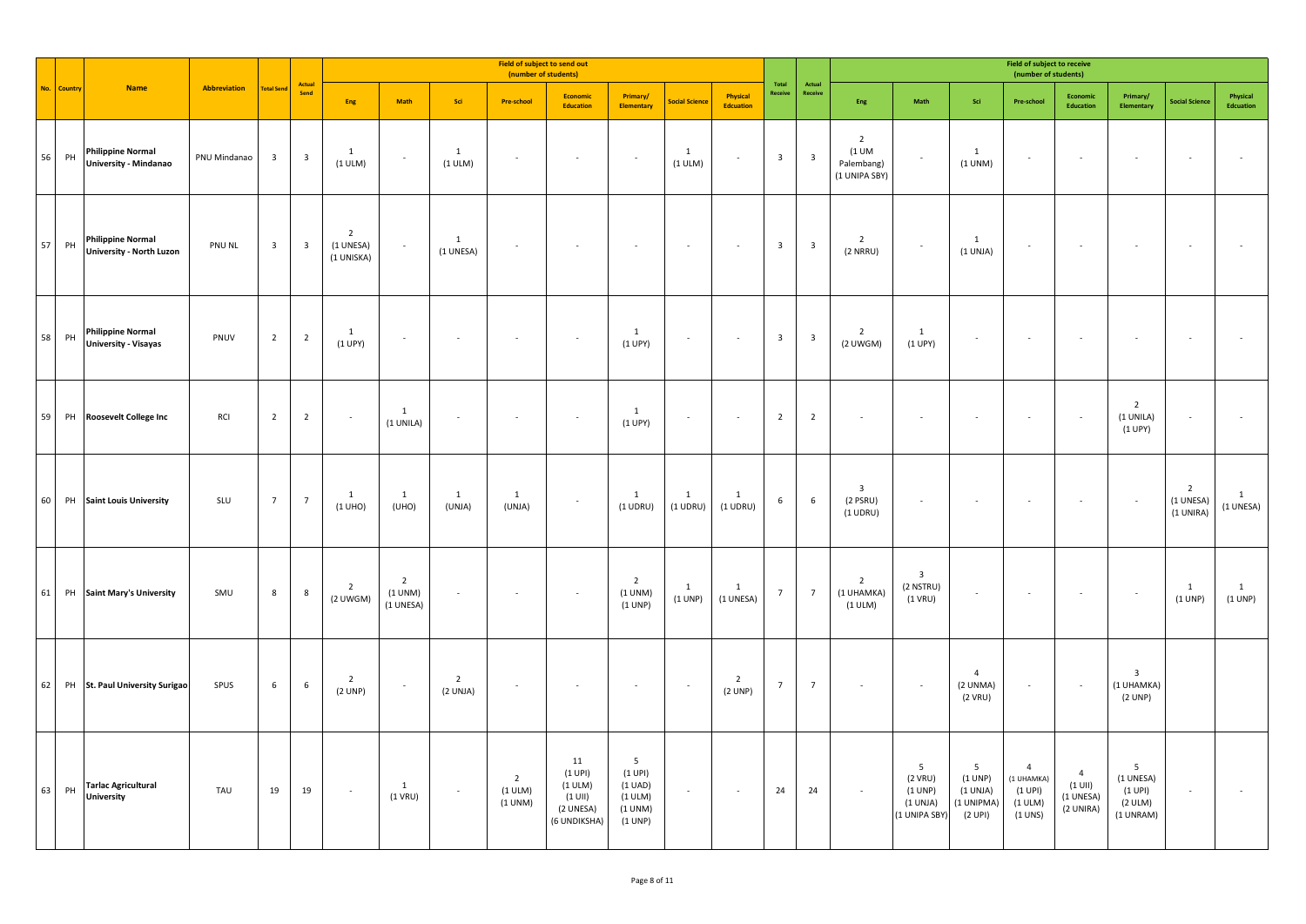|    |             |                                                             |              |                         |                         | Field of subject to send out<br>(number of students) |                                        |                            |                                      |                                                                    |                                                          |                            |                              |                  |                         |                                                          |                                                        |                                                                 | <b>Field of subject to receive</b><br>(number of students)           |                                                       |                                                                 |                                          |                           |
|----|-------------|-------------------------------------------------------------|--------------|-------------------------|-------------------------|------------------------------------------------------|----------------------------------------|----------------------------|--------------------------------------|--------------------------------------------------------------------|----------------------------------------------------------|----------------------------|------------------------------|------------------|-------------------------|----------------------------------------------------------|--------------------------------------------------------|-----------------------------------------------------------------|----------------------------------------------------------------------|-------------------------------------------------------|-----------------------------------------------------------------|------------------------------------------|---------------------------|
|    | No. Country | <b>Name</b>                                                 | Abbreviation | <b>Fotal Send</b>       | Actual<br>Send          | Eng                                                  | Math                                   | Sci                        | <b>Pre-school</b>                    | Economic<br><b>Education</b>                                       | Primary/<br><b>Elementary</b>                            | <b>Social Science</b>      | Physical<br><b>Edcuation</b> | Total<br>Receive | Actual<br>Receive       | Eng                                                      | Math                                                   | Sci                                                             | Pre-school                                                           | Economic<br>Education                                 | Primary/<br>Elementary                                          | <b>Social Science</b>                    | Physical<br>Edcuation     |
| 56 | PH          | <b>Philippine Normal</b><br>University - Mindanao           | PNU Mindanao | $\overline{\mathbf{3}}$ | $\overline{\mathbf{3}}$ | $\mathbf{1}$<br>(1 ULM)                              | $\sim$                                 | 1<br>$(1$ ULM $)$          | $\sim$                               | $\sim$                                                             | $\sim$                                                   | 1<br>(1 ULM)               | $\overline{\phantom{a}}$     | $\mathbf{3}$     | $\overline{\mathbf{3}}$ | $\overline{2}$<br>$(1$ UM<br>Palembang)<br>(1 UNIPA SBY) |                                                        | $\mathbf{1}$<br>(1 UNM)                                         | $\sim$                                                               | $\overline{\phantom{a}}$                              | $\overline{\phantom{a}}$                                        |                                          |                           |
| 57 | PH          | <b>Philippine Normal</b><br><b>University - North Luzon</b> | PNU NL       | $\overline{\mathbf{3}}$ | $\overline{\mathbf{3}}$ | $\overline{2}$<br>(1 UNESA)<br>(1 UNISKA)            | $\sim$                                 | 1<br>(1 UNESA)             | $\overline{\phantom{a}}$             | $\sim$                                                             | $\sim$                                                   | $\overline{\phantom{a}}$   | $\overline{\phantom{a}}$     | $\mathbf{3}$     | $\overline{\mathbf{3}}$ | $\overline{2}$<br>$(2$ NRRU)                             | $\sim$                                                 | $\mathbf{1}$<br>(1 UNJA)                                        | $\sim$                                                               | $\overline{\phantom{a}}$                              | $\sim$                                                          |                                          |                           |
| 58 | PH          | <b>Philippine Normal</b><br><b>University - Visayas</b>     | PNUV         | $\overline{2}$          | $\overline{2}$          | $\mathbf{1}$<br>(1 UPY)                              | $\sim$                                 | $\overline{\phantom{a}}$   | $\overline{\phantom{a}}$             | $\sim$                                                             | 1<br>(1 UPY)                                             | $\sim$                     | $\overline{\phantom{a}}$     | $\mathbf{3}$     | $\overline{\mathbf{3}}$ | $\overline{2}$<br>(2 UWGM)                               | $\mathbf{1}$<br>(1 UPY)                                |                                                                 | $\sim$                                                               |                                                       | $\overline{\phantom{a}}$                                        |                                          |                           |
| 59 |             | PH Roosevelt College Inc                                    | RCI          | $\overline{2}$          | $\overline{2}$          |                                                      | 1<br>(1 UNILA)                         |                            | $\overline{\phantom{a}}$             | $\sim$                                                             | 1<br>(1 UPY)                                             | $\overline{\phantom{a}}$   | $\overline{\phantom{a}}$     | $\overline{2}$   | $\overline{2}$          |                                                          |                                                        |                                                                 | $\sim$                                                               |                                                       | $\overline{2}$<br>(1 UNILA)<br>(1 UPY)                          |                                          |                           |
| 60 |             | PH Saint Louis University                                   | SLU          | $\overline{7}$          | $\overline{7}$          | $\mathbf{1}$<br>(1 UHO)                              | $\mathbf{1}$<br>(UHO)                  | $\overline{1}$<br>(UNJA)   | $\mathbf{1}$<br>(UNJA)               | $\sim$                                                             | 1<br>$(1$ UDRU)                                          | $\mathbf{1}$<br>$(1$ UDRU) | $\overline{1}$<br>$(1$ UDRU) | 6                | $\sqrt{6}$              | 3<br>$(2$ PSRU)<br>$(1$ UDRU)                            | $\sim$                                                 |                                                                 | ٠                                                                    |                                                       | $\sim$                                                          | $\overline{2}$<br>(1 UNESA)<br>(1 UNIRA) | $\mathbf{1}$<br>(1 UNESA) |
|    |             | 61 PH Saint Mary's University                               | SMU          | 8                       | 8                       | $\overline{2}$<br>(2 UWGM)                           | $\overline{2}$<br>(1 UNM)<br>(1 UNESA) |                            |                                      | $\sim$                                                             | $\overline{2}$<br>(1 UNM)<br>(1 UNP)                     | $\mathbf{1}$<br>(1 UNP)    | 1<br>(1 UNESA)               | $\overline{7}$   | $\overline{7}$          | $\overline{2}$<br>(1 UHAMKA)<br>(1 ULM)                  | $\overline{\mathbf{3}}$<br>(2 NSTRU)<br>$(1$ VRU)      |                                                                 | $\overline{\phantom{a}}$                                             |                                                       | $\sim$                                                          | 1<br>(1 UNP)                             | 1<br>(1 UNP)              |
| 62 |             | PH St. Paul University Surigao                              | SPUS         | $6\overline{6}$         | $\,$ 6 $\,$             | $\overline{2}$<br>(2 UNP)                            | $\sim$                                 | $\overline{2}$<br>(2 UNJA) | $\sim$                               | $\sim$                                                             | $\sim$                                                   | $\sim$                     | $\overline{2}$<br>(2 UNP)    | $\overline{7}$   | $\overline{7}$          | $\overline{\phantom{a}}$                                 | $\sim$                                                 | $\overline{4}$<br>(2 UNMA)<br>(2 VRU)                           | $\sim$                                                               | $\sim$                                                | $\overline{\mathbf{3}}$<br>(1 UHAMKA)<br>(2 UNP)                |                                          |                           |
| 63 | PH          | <b>Tarlac Agricultural</b><br><b>University</b>             | TAU          | 19                      | 19                      | $\sim$                                               | $\overline{1}$<br>$(1$ VRU)            | $\sim$                     | $\overline{2}$<br>(1 ULM)<br>(1 UNM) | 11<br>(1 UPI)<br>(1 ULM)<br>$(1$ UII)<br>(2 UNESA)<br>(6 UNDIKSHA) | 5<br>(1 UPI)<br>(1 UAD)<br>(1 ULM)<br>(1 UNM)<br>(1 UNP) | $\sim$                     | $\sim$                       | 24               | 24                      | $\overline{\phantom{a}}$                                 | 5<br>$(2$ VRU)<br>(1 UNP)<br>(1 UNJA)<br>(1 UNIPA SBY) | $5\phantom{.0}$<br>(1 UNP)<br>(1 UNJA)<br>(1 UNIPMA)<br>(2 UPI) | $\overline{4}$<br>(1 UHAMKA)<br>(1 UPI)<br>$(1$ ULM $)$<br>$(1$ UNS) | $\overline{4}$<br>$(1$ UII)<br>(1 UNESA)<br>(2 UNIRA) | $5\phantom{.0}$<br>(1 UNESA)<br>(1 UPI)<br>(2 ULM)<br>(1 UNRAM) | $\overline{\phantom{a}}$                 |                           |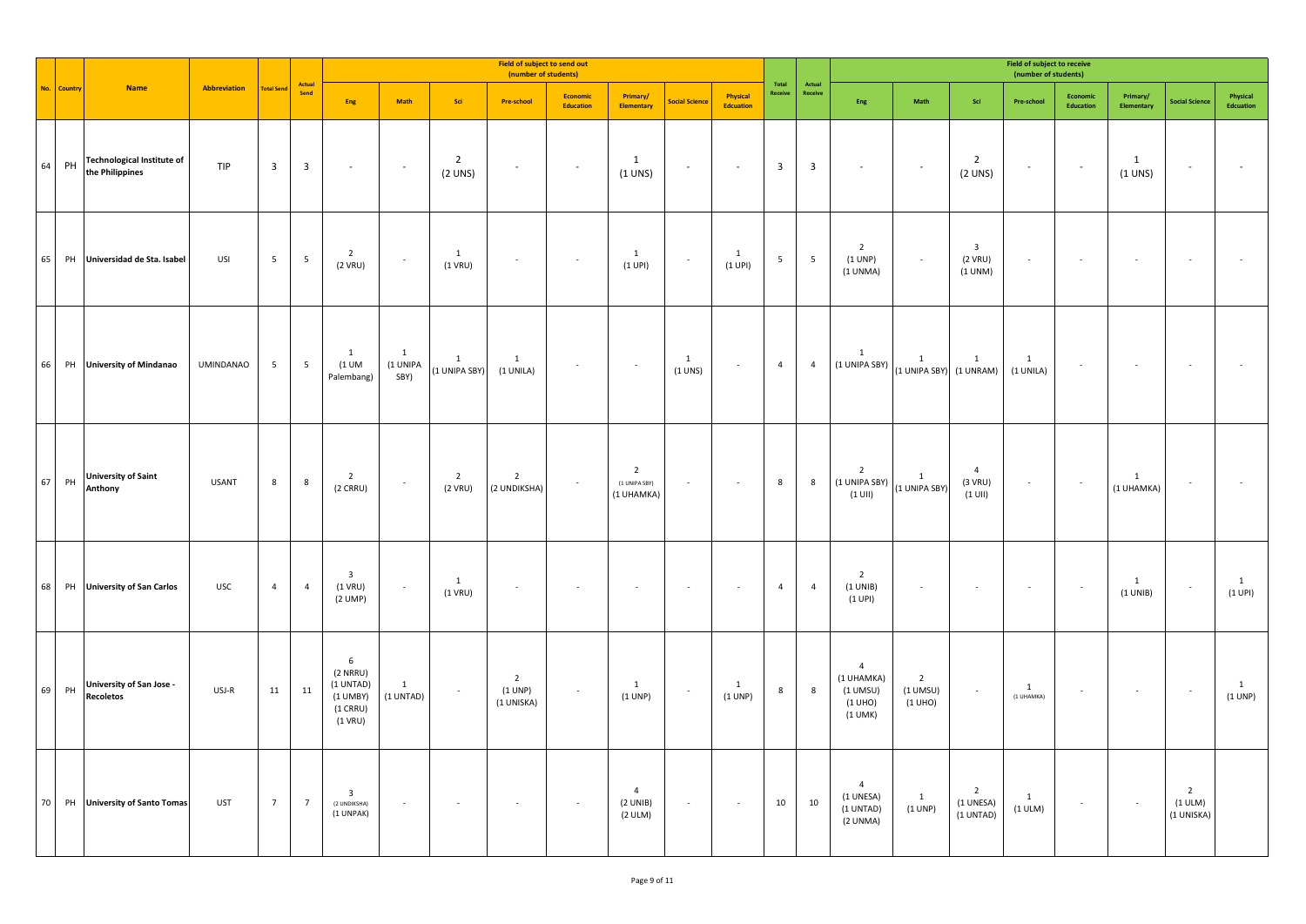|        |             |                                                      |                  |                         |                         |                                                                                    |                                    |                           | Field of subject to send out<br>(number of students) |                       |                                               |                             |                              |                         |                         |                                                                    |                                         |                                          | <b>Field of subject to receive</b><br>(number of students) |                              |                            |                                         |                           |
|--------|-------------|------------------------------------------------------|------------------|-------------------------|-------------------------|------------------------------------------------------------------------------------|------------------------------------|---------------------------|------------------------------------------------------|-----------------------|-----------------------------------------------|-----------------------------|------------------------------|-------------------------|-------------------------|--------------------------------------------------------------------|-----------------------------------------|------------------------------------------|------------------------------------------------------------|------------------------------|----------------------------|-----------------------------------------|---------------------------|
|        | No. Country | <b>Name</b>                                          | Abbreviation     | <b>Total Send</b>       | Actual<br>Send          | Eng                                                                                | Math                               | Sci                       | <b>Pre-school</b>                                    | Economic<br>Education | Primary/<br>Elementary                        | <b>Social Science</b>       | Physical<br><b>Edcuation</b> | Total<br>Receive        | Actual<br>Receive       | Eng                                                                | Math                                    | Sci                                      | Pre-school                                                 | <b>Economic</b><br>Education | Primary/<br>Elementary     | <b>Social Science</b>                   | Physical<br>Edcuation     |
| 64     | PH          | <b>Technological Institute of</b><br>the Philippines | TIP              | $\overline{\mathbf{3}}$ | $\overline{\mathbf{3}}$ | $\sim$                                                                             | $\sim$                             | $\overline{2}$<br>(2 UNS) | $\overline{\phantom{a}}$                             | $\sim$                | $\mathbf{1}$<br>(1 UNS)                       | $\sim$                      | $\sim$                       | $\overline{\mathbf{3}}$ | $\overline{\mathbf{3}}$ | $\sim$                                                             | $\sim$                                  | $\overline{2}$<br>(2 UNS)                | $\overline{\phantom{a}}$                                   | $\sim$                       | 1<br>$(1$ UNS)             | $\mathcal{L}_{\mathcal{A}}$             |                           |
| 65     |             | PH Universidad de Sta. Isabel                        | USI              | $5\overline{5}$         | $5\phantom{.0}$         | $\overline{2}$<br>(2 VRU)                                                          | $\epsilon$                         | $\mathbf{1}$<br>$(1$ VRU) |                                                      |                       | $\mathbf{1}$<br>(1 UPI)                       |                             | 1<br>(1 UPI)                 | 5                       | $\overline{5}$          | $\overline{2}$<br>(1 UNP)<br>(1 UNMA)                              | $\overline{\phantom{a}}$                | $\overline{3}$<br>(2 VRU)<br>(1 UNM)     | $\overline{\phantom{a}}$                                   |                              |                            |                                         |                           |
| 66     |             | PH University of Mindanao                            | <b>UMINDANAO</b> | $5\overline{5}$         | $5\phantom{.0}$         | $\mathbf{1}$<br>$(1$ UM<br>Palembang)                                              | $\overline{1}$<br>(1 UNIPA<br>SBY) | 1<br>(1 UNIPA SBY)        | $\mathbf{1}$<br>(1 UNILA)                            | $\sim$                | $\sim$                                        | $\overline{1}$<br>$(1$ UNS) | $\sim$                       | $\overline{4}$          | $\overline{4}$          | $\mathbf{1}$<br>(1 UNIPA SBY)                                      | $\mathbf{1}$<br>(1 UNIPA SBY) (1 UNRAM) | $\mathbf{1}$                             | $\mathbf{1}$<br>(1 UNILA)                                  | $\sim$                       | $\sim$                     | $\overline{\phantom{a}}$                |                           |
| $67\,$ | PH          | <b>University of Saint</b><br>Anthony                | <b>USANT</b>     | 8                       | 8                       | $\overline{2}$<br>$(2 \text{ CRRU})$                                               | $\sim$                             | $\overline{2}$<br>(2 VRU) | $\overline{2}$<br>(2 UNDIKSHA)                       |                       | $\overline{2}$<br>(1 UNIPA SBY)<br>(1 UHAMKA) | $\sim$                      | $\sim$                       | 8                       | 8                       | $\overline{2}$<br>(1 UNIPA SBY)<br>$(1$ UII)                       | $\mathbf{1}$<br>(1 UNIPA SBY)           | $\overline{4}$<br>(3 VRU)<br>$(1$ UII)   | $\sim$                                                     | $\sim$                       | $\mathbf{1}$<br>(1 UHAMKA) | $\overline{\phantom{a}}$                |                           |
| 68     |             | PH University of San Carlos                          | <b>USC</b>       | $\overline{4}$          | $\overline{4}$          | $\overline{\mathbf{3}}$<br>$(1$ VRU)<br>(2 UNP)                                    | $\sim$                             | 1<br>$(1$ VRU)            | $\sim$                                               |                       | $\bar{a}$                                     |                             |                              | $\overline{4}$          | $\overline{4}$          | $\overline{2}$<br>(1 UNIB)<br>(1 UPI)                              | $\overline{\phantom{a}}$                |                                          | $\overline{\phantom{a}}$                                   | $\sim$                       | $\mathbf{1}$<br>(1 UNIB)   | $\sim$                                  | $\mathbf{1}$<br>$(1$ UPI) |
| 69     | PH          | <b>University of San Jose -</b><br><b>Recoletos</b>  | USJ-R            | 11                      | 11                      | $6\phantom{1}$<br>$(2$ NRRU)<br>(1 UNTAD)<br>$(1$ UMBY)<br>$(1$ CRRU)<br>$(1$ VRU) | 1<br>(1 UNTAD)                     | $\sim$                    | $\overline{2}$<br>(1 UNP)<br>(1 UNISKA)              | $\sim$                | $\mathbf{1}$<br>(1 UNP)                       | $\sim$                      | 1<br>(1 UNP)                 | $\boldsymbol{8}$        | $\bf 8$                 | $\overline{4}$<br>(1 UHAMKA)<br>$(1$ UMSU)<br>(1 UHO)<br>$(1$ UMK) | $\overline{2}$<br>$(1$ UMSU)<br>(1 UHO) | $\sim$                                   | 1<br>(1 UHAMKA)                                            | $\overline{\phantom{a}}$     | $\sim$                     | $\sim$                                  | $\mathbf{1}$<br>(1 UNP)   |
| 70     |             | PH University of Santo Tomas                         | UST              | $7\overline{ }$         | $\overline{7}$          | $\overline{\mathbf{3}}$<br>(2 UNDIKSHA)<br>(1 UNPAK)                               | $\sim$                             | $\sim$                    | $\sim$                                               | $\sim$                | $\overline{4}$<br>(2 UNIB)<br>(2 ULM)         | $\sim$                      | $\sim$                       | 10                      | 10                      | $\overline{4}$<br>(1 UNESA)<br>(1 UNTAD)<br>(2 UNMA)               | 1<br>(1 UNP)                            | $\overline{2}$<br>(1 UNESA)<br>(1 UNTAD) | <sup>1</sup><br>(1 ULM)                                    | $\sim$                       | $\sim$                     | $\overline{2}$<br>(1 ULM)<br>(1 UNISKA) |                           |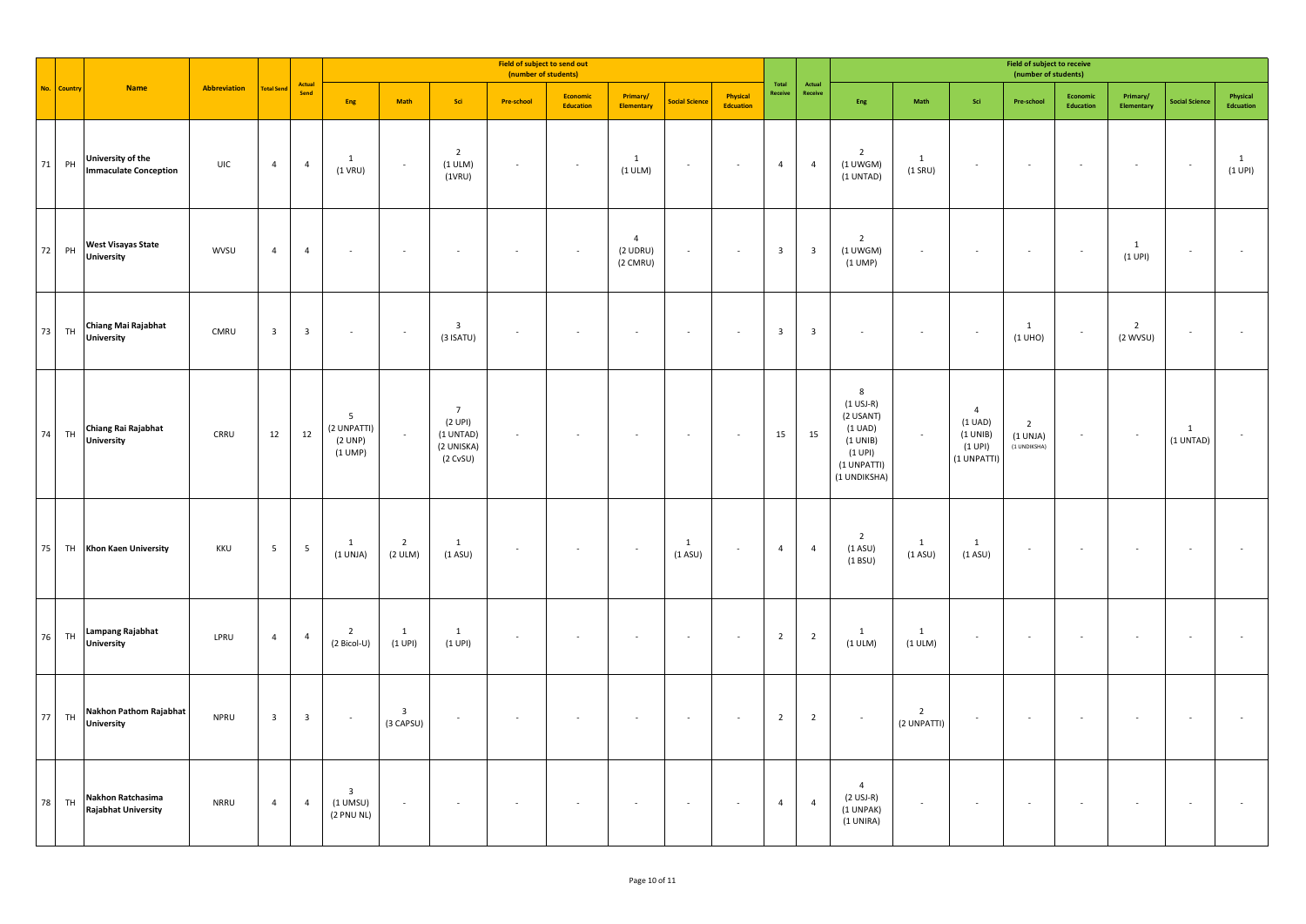|      |         |                                                   |              |                         |                         |                                                     |                                      |                                                                  | Field of subject to send out<br>(number of students) |                       |                                          |                           |                              |                         |                         |                                                                                                            |                               |                                                                 | Field of subject to receive<br>(number of students) |                          |                              |                           |                         |
|------|---------|---------------------------------------------------|--------------|-------------------------|-------------------------|-----------------------------------------------------|--------------------------------------|------------------------------------------------------------------|------------------------------------------------------|-----------------------|------------------------------------------|---------------------------|------------------------------|-------------------------|-------------------------|------------------------------------------------------------------------------------------------------------|-------------------------------|-----------------------------------------------------------------|-----------------------------------------------------|--------------------------|------------------------------|---------------------------|-------------------------|
| No.  | Country | <b>Name</b>                                       | Abbreviation | <b>Total Send</b>       | Actual<br>Send          | Eng                                                 | Math                                 | Sci                                                              | <b>Pre-school</b>                                    | Economic<br>Education | Primary/<br><b>Elementary</b>            | <b>Social Science</b>     | Physical<br><b>Edcuation</b> | Total<br>Receive        | Actual<br>Receive       | Eng                                                                                                        | Math                          | Sci                                                             | Pre-school                                          | Economic<br>Education    | Primary/<br>Elementary       | <b>Social Science</b>     | Physical<br>Edcuation   |
| 71   | PH      | University of the<br><b>Immaculate Conception</b> | UIC          | $\overline{4}$          | $\overline{4}$          | 1<br>$(1$ VRU)                                      | $\sim$                               | $\overline{2}$<br>(1 ULM)<br>(1VRU)                              | $\sim$                                               | $\sim$                | 1<br>(1 ULM)                             | $\sim$                    | $\sim$                       | $\overline{4}$          | $\overline{4}$          | $\overline{2}$<br>$(1$ UWGM)<br>(1 UNTAD)                                                                  | 1<br>$(1$ SRU)                |                                                                 | $\epsilon$                                          |                          | $\overline{\phantom{a}}$     | $\sim$                    | $\mathbf{1}$<br>(1 UPI) |
| 72   | PH      | <b>West Visayas State</b><br>University           | <b>WVSU</b>  | $\overline{4}$          | $\overline{4}$          |                                                     | $\epsilon$                           |                                                                  |                                                      |                       | $\overline{4}$<br>$(2$ UDRU)<br>(2 CMRU) |                           |                              | $\overline{\mathbf{3}}$ | $\overline{\mathbf{3}}$ | $\overline{2}$<br>$(1$ UWGM)<br>$(1$ UMP)                                                                  |                               |                                                                 | $\overline{\phantom{a}}$                            | $\mathcal{L}$            | $\mathbf{1}$<br>(1 UPI)      | $\overline{\phantom{a}}$  |                         |
| 73   | TH      | Chiang Mai Rajabhat<br><b>University</b>          | CMRU         | $\overline{\mathbf{3}}$ | $\overline{\mathbf{3}}$ | $\overline{\phantom{a}}$                            | $\sim$                               | $\overline{\mathbf{3}}$<br>$(3$ ISATU)                           |                                                      |                       | $\overline{\phantom{a}}$                 |                           |                              | $\overline{\mathbf{3}}$ | $\overline{\mathbf{3}}$ |                                                                                                            |                               | $\overline{\phantom{a}}$                                        | 1<br>(1 UHO)                                        | $\overline{\phantom{a}}$ | $\overline{2}$<br>$(2$ WVSU) | $\overline{\phantom{a}}$  |                         |
| 74   | TH      | Chiang Rai Rajabhat<br><b>University</b>          | CRRU         | 12                      | 12                      | $\overline{5}$<br>(2 UNPATTI)<br>(2 UNP)<br>(1 UMP) | $\sim$                               | $\overline{7}$<br>(2 UPI)<br>(1 UNTAD)<br>(2 UNISKA)<br>(2 CVSU) | $\sim$                                               |                       | $\sim$                                   |                           | $\sim$                       | 15                      | 15                      | 8<br>$(1$ USJ-R)<br>(2 USANT)<br>$(1 \text{ UAD})$<br>(1 UNIB)<br>$(1$ UPI)<br>(1 UNPATTI)<br>(1 UNDIKSHA) | $\overline{\phantom{a}}$      | $\overline{4}$<br>(1 UAD)<br>(1 UNIB)<br>(1 UPI)<br>(1 UNPATTI) | $\overline{2}$<br>(1 UNJA)<br>(1 UNDIKSHA)          | $\overline{\phantom{a}}$ | $\sim$                       | $\mathbf{1}$<br>(1 UNTAD) |                         |
| 75   |         | TH Khon Kaen University                           | KKU          | $5\overline{5}$         | $5\overline{5}$         | 1<br>(1 UNJA)                                       | $\overline{2}$<br>(2 ULM)            | $\mathbf{1}$<br>(1 A SU)                                         | $\sim$                                               |                       | $\sim$                                   | $\mathbf{1}$<br>$(1$ ASU) | $\sim$                       | $\overline{4}$          | $\overline{4}$          | $\overline{2}$<br>(1 A SU)<br>(1 B SU)                                                                     | $\mathbf{1}$<br>(1 A SU)      | $\mathbf{1}$<br>(1 A SU)                                        | $\overline{\phantom{a}}$                            | $\epsilon$               | $\sim$                       | $\overline{\phantom{a}}$  |                         |
| $76$ | TH      | <b>Lampang Rajabhat</b><br><b>University</b>      | LPRU         | $\overline{4}$          | $\overline{4}$          | $\overline{2}$<br>(2 Bicol-U)                       | $\overline{1}$<br>$(1$ UPI)          | $\mathbf{1}$<br>(1 UPI)                                          |                                                      |                       | $\sim$                                   |                           |                              | $\overline{2}$          | $\overline{2}$          | $\mathbf{1}$<br>(1 ULM)                                                                                    | $\mathbf{1}$<br>(1 ULM)       |                                                                 | $\overline{\phantom{a}}$                            |                          |                              |                           |                         |
| 77   | TH      | Nakhon Pathom Rajabhat<br><b>University</b>       | <b>NPRU</b>  | $\overline{\mathbf{3}}$ | $\overline{\mathbf{3}}$ | $\sim$                                              | $\overline{\mathbf{3}}$<br>(3 CAPSU) | $\sim$                                                           |                                                      |                       | ×.                                       |                           |                              | $\overline{2}$          | $\overline{2}$          | $\sim$                                                                                                     | $\overline{2}$<br>(2 UNPATTI) |                                                                 | ÷.                                                  |                          |                              |                           |                         |
| 78   | TH      | Nakhon Ratchasima<br><b>Rajabhat University</b>   | <b>NRRU</b>  | $\overline{4}$          | $\overline{4}$          | $\overline{\mathbf{3}}$<br>$(1$ UMSU)<br>(2 PNU NL) | $\sim$                               | $\sim$                                                           | ×                                                    |                       | $\overline{\phantom{a}}$                 | $\sim$                    | $\sim$                       | $\overline{4}$          | $\overline{4}$          | $\overline{4}$<br>$(2$ USJ-R)<br>(1 UNPAK)<br>(1 UNIRA)                                                    | $\overline{\phantom{a}}$      |                                                                 | $\epsilon$                                          | $\sim$                   | $\sim$                       | $\sim$                    |                         |